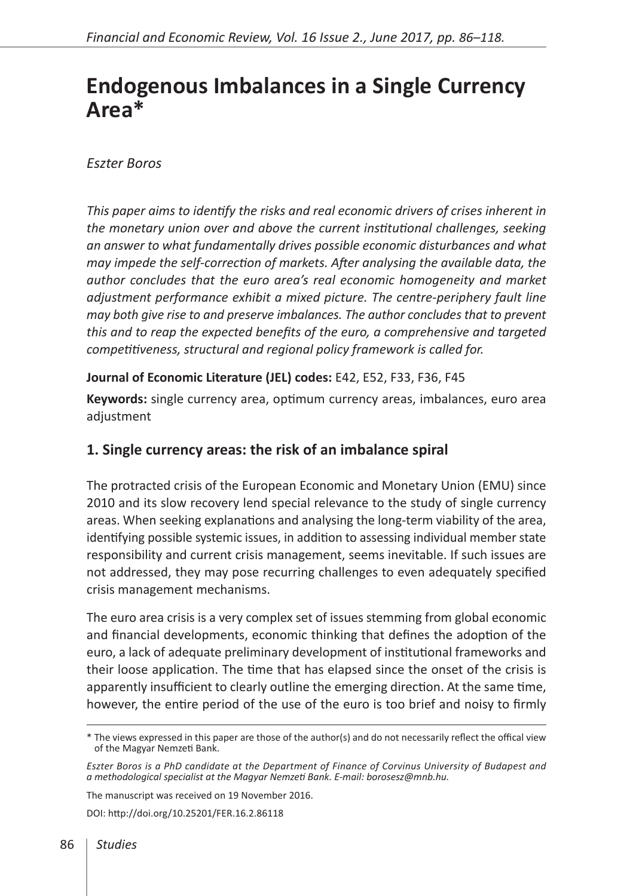# **Endogenous Imbalances in a Single Currency Area\***

## *Eszter Boros*

*This paper aims to identify the risks and real economic drivers of crises inherent in the monetary union over and above the current institutional challenges, seeking an answer to what fundamentally drives possible economic disturbances and what may impede the self-correction of markets. After analysing the available data, the author concludes that the euro area's real economic homogeneity and market adjustment performance exhibit a mixed picture. The centre-periphery fault line may both give rise to and preserve imbalances. The author concludes that to prevent this and to reap the expected benefits of the euro, a comprehensive and targeted competitiveness, structural and regional policy framework is called for.*

## **Journal of Economic Literature (JEL) codes:** E42, E52, F33, F36, F45

**Keywords:** single currency area, optimum currency areas, imbalances, euro area adjustment

## **1. Single currency areas: the risk of an imbalance spiral**

The protracted crisis of the European Economic and Monetary Union (EMU) since 2010 and its slow recovery lend special relevance to the study of single currency areas. When seeking explanations and analysing the long-term viability of the area, identifying possible systemic issues, in addition to assessing individual member state responsibility and current crisis management, seems inevitable. If such issues are not addressed, they may pose recurring challenges to even adequately specified crisis management mechanisms.

The euro area crisis is a very complex set of issues stemming from global economic and financial developments, economic thinking that defines the adoption of the euro, a lack of adequate preliminary development of institutional frameworks and their loose application. The time that has elapsed since the onset of the crisis is apparently insufficient to clearly outline the emerging direction. At the same time, however, the entire period of the use of the euro is too brief and noisy to firmly

The manuscript was received on 19 November 2016.

DOI:<http://doi.org/10.25201/FER.16.2.86118>

<sup>\*</sup> The views expressed in this paper are those of the author(s) and do not necessarily reflect the offical view of the Magyar Nemzeti Bank.

*Eszter Boros is a PhD candidate at the Department of Finance of Corvinus University of Budapest and a methodological specialist at the Magyar Nemzeti Bank. E-mail: borosesz@mnb.hu.*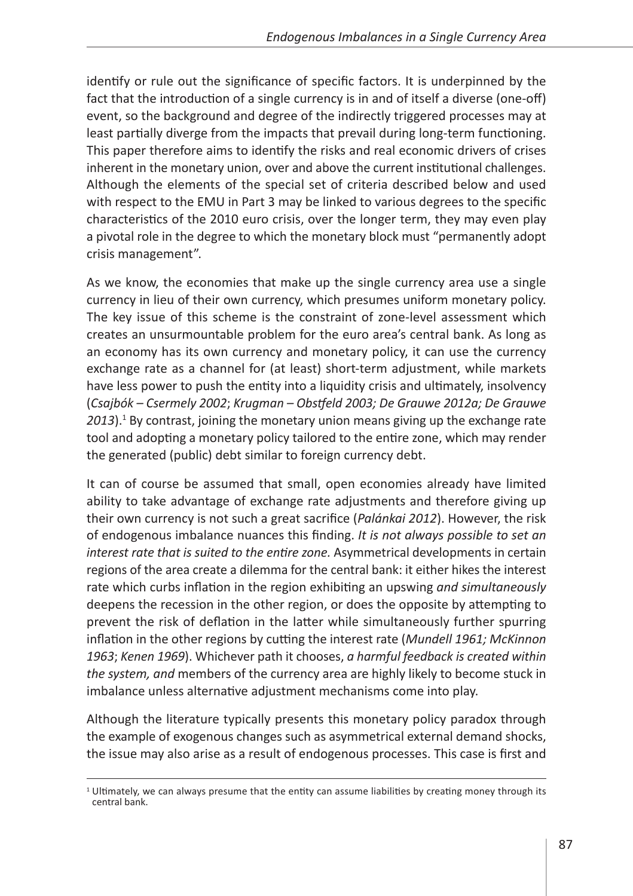identify or rule out the significance of specific factors. It is underpinned by the fact that the introduction of a single currency is in and of itself a diverse (one-off) event, so the background and degree of the indirectly triggered processes may at least partially diverge from the impacts that prevail during long-term functioning. This paper therefore aims to identify the risks and real economic drivers of crises inherent in the monetary union, over and above the current institutional challenges. Although the elements of the special set of criteria described below and used with respect to the EMU in Part 3 may be linked to various degrees to the specific characteristics of the 2010 euro crisis, over the longer term, they may even play a pivotal role in the degree to which the monetary block must "permanently adopt crisis management".

As we know, the economies that make up the single currency area use a single currency in lieu of their own currency, which presumes uniform monetary policy. The key issue of this scheme is the constraint of zone-level assessment which creates an unsurmountable problem for the euro area's central bank. As long as an economy has its own currency and monetary policy, it can use the currency exchange rate as a channel for (at least) short-term adjustment, while markets have less power to push the entity into a liquidity crisis and ultimately, insolvency (*Csajbók – Csermely 2002*; *Krugman – Obstfeld 2003; De Grauwe 2012a; De Grauwe*  2013).<sup>1</sup> By contrast, joining the monetary union means giving up the exchange rate tool and adopting a monetary policy tailored to the entire zone, which may render the generated (public) debt similar to foreign currency debt.

It can of course be assumed that small, open economies already have limited ability to take advantage of exchange rate adjustments and therefore giving up their own currency is not such a great sacrifice (*Palánkai 2012*). However, the risk of endogenous imbalance nuances this finding. *It is not always possible to set an interest rate that is suited to the entire zone.* Asymmetrical developments in certain regions of the area create a dilemma for the central bank: it either hikes the interest rate which curbs inflation in the region exhibiting an upswing *and simultaneously* deepens the recession in the other region, or does the opposite by attempting to prevent the risk of deflation in the latter while simultaneously further spurring inflation in the other regions by cutting the interest rate (*Mundell 1961; McKinnon 1963*; *Kenen 1969*). Whichever path it chooses, *a harmful feedback is created within the system, and* members of the currency area are highly likely to become stuck in imbalance unless alternative adjustment mechanisms come into play.

Although the literature typically presents this monetary policy paradox through the example of exogenous changes such as asymmetrical external demand shocks, the issue may also arise as a result of endogenous processes. This case is first and

 $1$  Ultimately, we can always presume that the entity can assume liabilities by creating money through its central bank.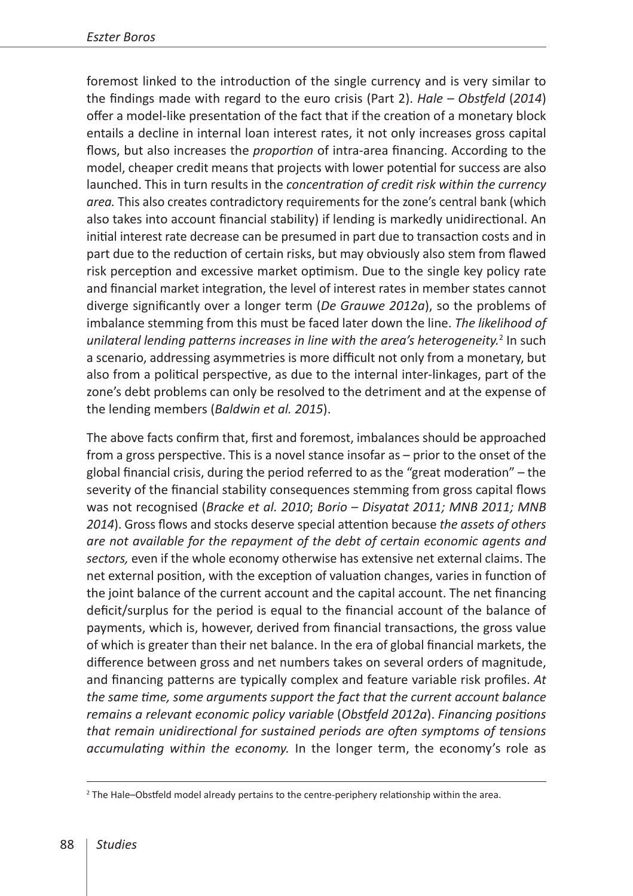foremost linked to the introduction of the single currency and is very similar to the findings made with regard to the euro crisis (Part 2). *Hale – Obstfeld* (*2014*) offer a model-like presentation of the fact that if the creation of a monetary block entails a decline in internal loan interest rates, it not only increases gross capital flows, but also increases the *proportion* of intra-area financing. According to the model, cheaper credit means that projects with lower potential for success are also launched. This in turn results in the *concentration of credit risk within the currency area.* This also creates contradictory requirements for the zone's central bank (which also takes into account financial stability) if lending is markedly unidirectional. An initial interest rate decrease can be presumed in part due to transaction costs and in part due to the reduction of certain risks, but may obviously also stem from flawed risk perception and excessive market optimism. Due to the single key policy rate and financial market integration, the level of interest rates in member states cannot diverge significantly over a longer term (*De Grauwe 2012a*), so the problems of imbalance stemming from this must be faced later down the line. *The likelihood of*  unilateral lending patterns increases in line with the area's heterogeneity.<sup>2</sup> In such a scenario, addressing asymmetries is more difficult not only from a monetary, but also from a political perspective, as due to the internal inter-linkages, part of the zone's debt problems can only be resolved to the detriment and at the expense of the lending members (*Baldwin et al. 2015*).

The above facts confirm that, first and foremost, imbalances should be approached from a gross perspective. This is a novel stance insofar as – prior to the onset of the global financial crisis, during the period referred to as the "great moderation" – the severity of the financial stability consequences stemming from gross capital flows was not recognised (*Bracke et al. 2010*; *Borio – Disyatat 2011; MNB 2011; MNB 2014*). Gross flows and stocks deserve special attention because *the assets of others are not available for the repayment of the debt of certain economic agents and sectors,* even if the whole economy otherwise has extensive net external claims. The net external position, with the exception of valuation changes, varies in function of the joint balance of the current account and the capital account. The net financing deficit/surplus for the period is equal to the financial account of the balance of payments, which is, however, derived from financial transactions, the gross value of which is greater than their net balance. In the era of global financial markets, the difference between gross and net numbers takes on several orders of magnitude, and financing patterns are typically complex and feature variable risk profiles. *At the same time, some arguments support the fact that the current account balance remains a relevant economic policy variable* (*Obstfeld 2012a*). *Financing positions that remain unidirectional for sustained periods are often symptoms of tensions accumulating within the economy.* In the longer term, the economy's role as

<sup>&</sup>lt;sup>2</sup> The Hale–Obstfeld model already pertains to the centre-periphery relationship within the area.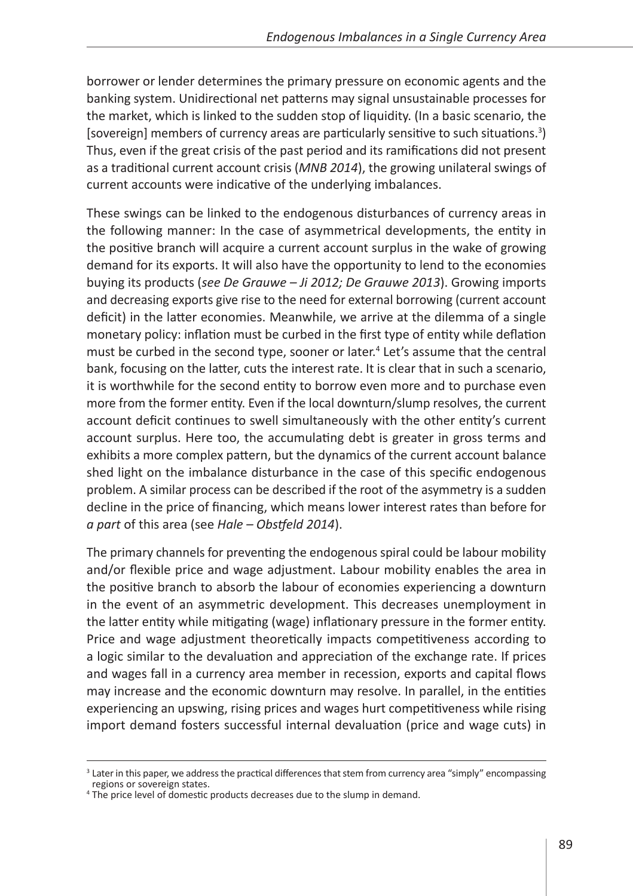borrower or lender determines the primary pressure on economic agents and the banking system. Unidirectional net patterns may signal unsustainable processes for the market, which is linked to the sudden stop of liquidity. (In a basic scenario, the [sovereign] members of currency areas are particularly sensitive to such situations.<sup>3</sup>) Thus, even if the great crisis of the past period and its ramifications did not present as a traditional current account crisis (*MNB 2014*), the growing unilateral swings of current accounts were indicative of the underlying imbalances.

These swings can be linked to the endogenous disturbances of currency areas in the following manner: In the case of asymmetrical developments, the entity in the positive branch will acquire a current account surplus in the wake of growing demand for its exports. It will also have the opportunity to lend to the economies buying its products (*see De Grauwe – Ji 2012; De Grauwe 2013*). Growing imports and decreasing exports give rise to the need for external borrowing (current account deficit) in the latter economies. Meanwhile, we arrive at the dilemma of a single monetary policy: inflation must be curbed in the first type of entity while deflation must be curbed in the second type, sooner or later.<sup>4</sup> Let's assume that the central bank, focusing on the latter, cuts the interest rate. It is clear that in such a scenario, it is worthwhile for the second entity to borrow even more and to purchase even more from the former entity. Even if the local downturn/slump resolves, the current account deficit continues to swell simultaneously with the other entity's current account surplus. Here too, the accumulating debt is greater in gross terms and exhibits a more complex pattern, but the dynamics of the current account balance shed light on the imbalance disturbance in the case of this specific endogenous problem. A similar process can be described if the root of the asymmetry is a sudden decline in the price of financing, which means lower interest rates than before for *a part* of this area (see *Hale – Obstfeld 2014*).

The primary channels for preventing the endogenous spiral could be labour mobility and/or flexible price and wage adjustment. Labour mobility enables the area in the positive branch to absorb the labour of economies experiencing a downturn in the event of an asymmetric development. This decreases unemployment in the latter entity while mitigating (wage) inflationary pressure in the former entity. Price and wage adjustment theoretically impacts competitiveness according to a logic similar to the devaluation and appreciation of the exchange rate. If prices and wages fall in a currency area member in recession, exports and capital flows may increase and the economic downturn may resolve. In parallel, in the entities experiencing an upswing, rising prices and wages hurt competitiveness while rising import demand fosters successful internal devaluation (price and wage cuts) in

<sup>&</sup>lt;sup>3</sup> Later in this paper, we address the practical differences that stem from currency area "simply" encompassing regions or sovereign states.

<sup>4</sup> The price level of domestic products decreases due to the slump in demand.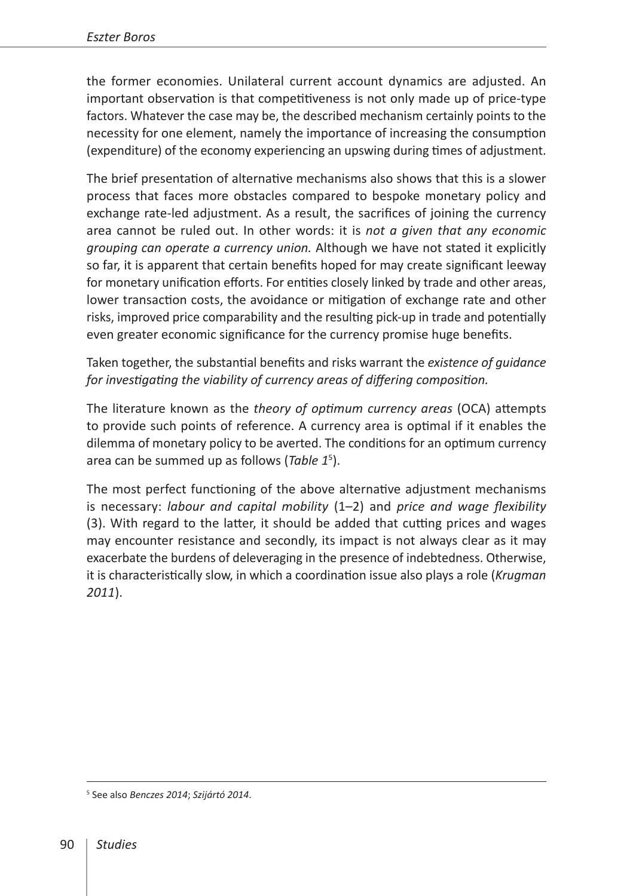the former economies. Unilateral current account dynamics are adjusted. An important observation is that competitiveness is not only made up of price-type factors. Whatever the case may be, the described mechanism certainly points to the necessity for one element, namely the importance of increasing the consumption (expenditure) of the economy experiencing an upswing during times of adjustment.

The brief presentation of alternative mechanisms also shows that this is a slower process that faces more obstacles compared to bespoke monetary policy and exchange rate-led adjustment. As a result, the sacrifices of joining the currency area cannot be ruled out. In other words: it is *not a given that any economic grouping can operate a currency union.* Although we have not stated it explicitly so far, it is apparent that certain benefits hoped for may create significant leeway for monetary unification efforts. For entities closely linked by trade and other areas, lower transaction costs, the avoidance or mitigation of exchange rate and other risks, improved price comparability and the resulting pick-up in trade and potentially even greater economic significance for the currency promise huge benefits.

Taken together, the substantial benefits and risks warrant the *existence of guidance for investigating the viability of currency areas of differing composition.*

The literature known as the *theory of optimum currency areas* (OCA) attempts to provide such points of reference. A currency area is optimal if it enables the dilemma of monetary policy to be averted. The conditions for an optimum currency area can be summed up as follows (*Table 1*<sup>5</sup> ).

The most perfect functioning of the above alternative adjustment mechanisms is necessary: *labour and capital mobility* (1–2) and *price and wage flexibility*  (3). With regard to the latter, it should be added that cutting prices and wages may encounter resistance and secondly, its impact is not always clear as it may exacerbate the burdens of deleveraging in the presence of indebtedness. Otherwise, it is characteristically slow, in which a coordination issue also plays a role (*Krugman 2011*).

<sup>5</sup> See also *Benczes 2014*; *Szijártó 2014*.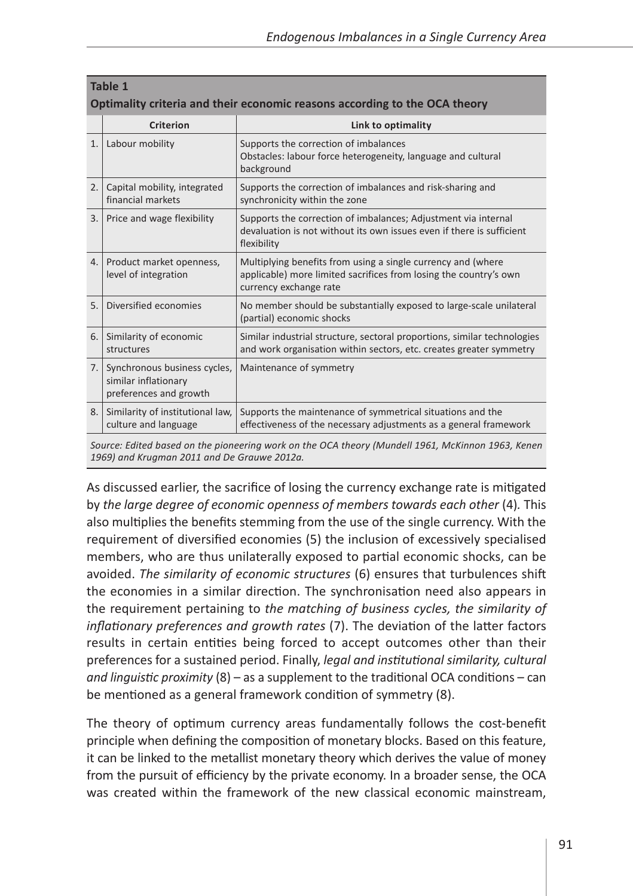| Table 1<br>Optimality criteria and their economic reasons according to the OCA theory |                                                                                |                                                                                                                                                             |
|---------------------------------------------------------------------------------------|--------------------------------------------------------------------------------|-------------------------------------------------------------------------------------------------------------------------------------------------------------|
|                                                                                       | Criterion                                                                      | Link to optimality                                                                                                                                          |
| 1.                                                                                    | Labour mobility                                                                | Supports the correction of imbalances<br>Obstacles: labour force heterogeneity, language and cultural<br>background                                         |
| 2.                                                                                    | Capital mobility, integrated<br>financial markets                              | Supports the correction of imbalances and risk-sharing and<br>synchronicity within the zone                                                                 |
| 3.                                                                                    | Price and wage flexibility                                                     | Supports the correction of imbalances; Adjustment via internal<br>devaluation is not without its own issues even if there is sufficient<br>flexibility      |
| 4.                                                                                    | Product market openness,<br>level of integration                               | Multiplying benefits from using a single currency and (where<br>applicable) more limited sacrifices from losing the country's own<br>currency exchange rate |
| 5.                                                                                    | Diversified economies                                                          | No member should be substantially exposed to large-scale unilateral<br>(partial) economic shocks                                                            |
| 6.                                                                                    | Similarity of economic<br>structures                                           | Similar industrial structure, sectoral proportions, similar technologies<br>and work organisation within sectors, etc. creates greater symmetry             |
| 7.                                                                                    | Synchronous business cycles,<br>similar inflationary<br>preferences and growth | Maintenance of symmetry                                                                                                                                     |
| 8.                                                                                    | Similarity of institutional law,<br>culture and language                       | Supports the maintenance of symmetrical situations and the<br>effectiveness of the necessary adjustments as a general framework                             |

*Source: Edited based on the pioneering work on the OCA theory (Mundell 1961, McKinnon 1963, Kenen 1969) and Krugman 2011 and De Grauwe 2012a.*

As discussed earlier, the sacrifice of losing the currency exchange rate is mitigated by *the large degree of economic openness of members towards each other* (4)*.* This also multiplies the benefits stemming from the use of the single currency. With the requirement of diversified economies (5) the inclusion of excessively specialised members, who are thus unilaterally exposed to partial economic shocks, can be avoided. *The similarity of economic structures* (6) ensures that turbulences shift the economies in a similar direction. The synchronisation need also appears in the requirement pertaining to *the matching of business cycles, the similarity of inflationary preferences and growth rates* (7). The deviation of the latter factors results in certain entities being forced to accept outcomes other than their preferences for a sustained period. Finally, *legal and institutional similarity, cultural and linguistic proximity* (8) – as a supplement to the traditional OCA conditions – can be mentioned as a general framework condition of symmetry (8).

The theory of optimum currency areas fundamentally follows the cost-benefit principle when defining the composition of monetary blocks. Based on this feature, it can be linked to the metallist monetary theory which derives the value of money from the pursuit of efficiency by the private economy. In a broader sense, the OCA was created within the framework of the new classical economic mainstream,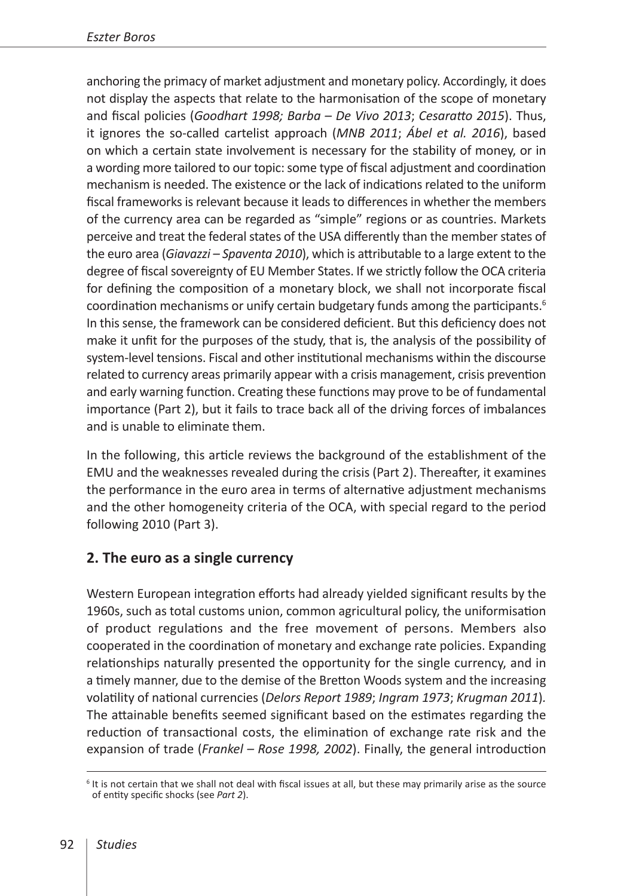anchoring the primacy of market adjustment and monetary policy. Accordingly, it does not display the aspects that relate to the harmonisation of the scope of monetary and fiscal policies (*Goodhart 1998; Barba – De Vivo 2013*; *Cesaratto 2015*). Thus, it ignores the so-called cartelist approach (*MNB 2011*; *Ábel et al. 2016*), based on which a certain state involvement is necessary for the stability of money, or in a wording more tailored to our topic: some type of fiscal adjustment and coordination mechanism is needed. The existence or the lack of indications related to the uniform fiscal frameworks is relevant because it leads to differences in whether the members of the currency area can be regarded as "simple" regions or as countries. Markets perceive and treat the federal states of the USA differently than the member states of the euro area (*Giavazzi – Spaventa 2010*), which is attributable to a large extent to the degree of fiscal sovereignty of EU Member States. If we strictly follow the OCA criteria for defining the composition of a monetary block, we shall not incorporate fiscal coordination mechanisms or unify certain budgetary funds among the participants.<sup>6</sup> In this sense, the framework can be considered deficient. But this deficiency does not make it unfit for the purposes of the study, that is, the analysis of the possibility of system-level tensions. Fiscal and other institutional mechanisms within the discourse related to currency areas primarily appear with a crisis management, crisis prevention and early warning function. Creating these functions may prove to be of fundamental importance (Part 2), but it fails to trace back all of the driving forces of imbalances and is unable to eliminate them.

In the following, this article reviews the background of the establishment of the EMU and the weaknesses revealed during the crisis (Part 2). Thereafter, it examines the performance in the euro area in terms of alternative adjustment mechanisms and the other homogeneity criteria of the OCA, with special regard to the period following 2010 (Part 3).

## **2. The euro as a single currency**

Western European integration efforts had already yielded significant results by the 1960s, such as total customs union, common agricultural policy, the uniformisation of product regulations and the free movement of persons. Members also cooperated in the coordination of monetary and exchange rate policies. Expanding relationships naturally presented the opportunity for the single currency, and in a timely manner, due to the demise of the Bretton Woods system and the increasing volatility of national currencies (*Delors Report 1989*; *Ingram 1973*; *Krugman 2011*)*.*  The attainable benefits seemed significant based on the estimates regarding the reduction of transactional costs, the elimination of exchange rate risk and the expansion of trade (*Frankel – Rose 1998, 2002*). Finally, the general introduction

 $6$  It is not certain that we shall not deal with fiscal issues at all, but these may primarily arise as the source of entity specific shocks (see *Part 2*).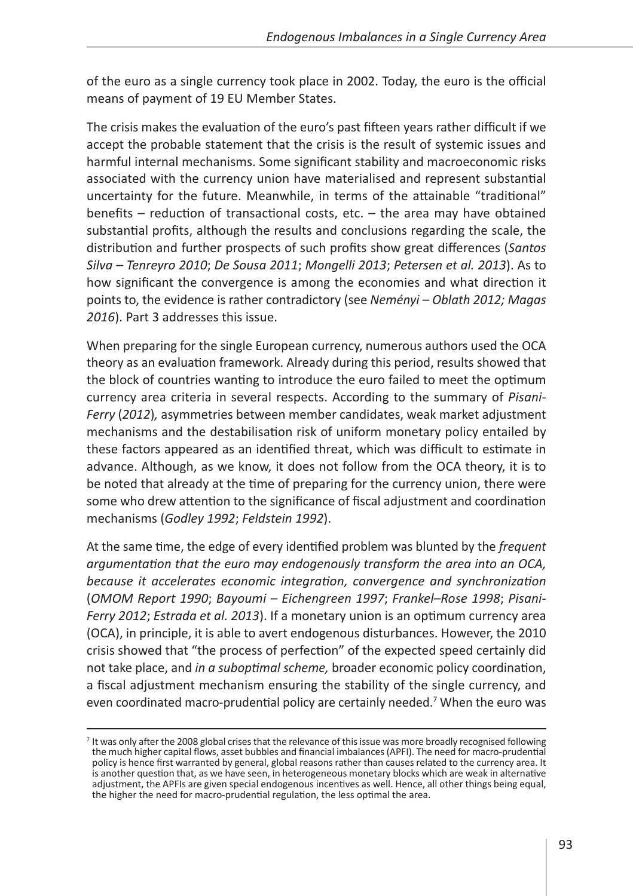of the euro as a single currency took place in 2002. Today, the euro is the official means of payment of 19 EU Member States.

The crisis makes the evaluation of the euro's past fifteen years rather difficult if we accept the probable statement that the crisis is the result of systemic issues and harmful internal mechanisms. Some significant stability and macroeconomic risks associated with the currency union have materialised and represent substantial uncertainty for the future. Meanwhile, in terms of the attainable "traditional" benefits – reduction of transactional costs, etc. – the area may have obtained substantial profits, although the results and conclusions regarding the scale, the distribution and further prospects of such profits show great differences (*Santos Silva – Tenreyro 2010*; *De Sousa 2011*; *Mongelli 2013*; *Petersen et al. 2013*). As to how significant the convergence is among the economies and what direction it points to, the evidence is rather contradictory (see *Neményi – Oblath 2012; Magas 2016*). Part 3 addresses this issue.

When preparing for the single European currency, numerous authors used the OCA theory as an evaluation framework. Already during this period, results showed that the block of countries wanting to introduce the euro failed to meet the optimum currency area criteria in several respects. According to the summary of *Pisani-Ferry* (*2012*)*,* asymmetries between member candidates, weak market adjustment mechanisms and the destabilisation risk of uniform monetary policy entailed by these factors appeared as an identified threat, which was difficult to estimate in advance. Although, as we know, it does not follow from the OCA theory, it is to be noted that already at the time of preparing for the currency union, there were some who drew attention to the significance of fiscal adjustment and coordination mechanisms (*Godley 1992*; *Feldstein 1992*).

At the same time, the edge of every identified problem was blunted by the *frequent argumentation that the euro may endogenously transform the area into an OCA, because it accelerates economic integration, convergence and synchronization*  (*OMOM Report 1990*; *Bayoumi – Eichengreen 1997*; *Frankel–Rose 1998*; *Pisani-Ferry 2012*; *Estrada et al. 2013*). If a monetary union is an optimum currency area (OCA), in principle, it is able to avert endogenous disturbances. However, the 2010 crisis showed that "the process of perfection" of the expected speed certainly did not take place, and *in a suboptimal scheme,* broader economic policy coordination, a fiscal adjustment mechanism ensuring the stability of the single currency, and even coordinated macro-prudential policy are certainly needed.<sup>7</sup> When the euro was

<sup>&</sup>lt;sup>7</sup> It was only after the 2008 global crises that the relevance of this issue was more broadly recognised following the much higher capital flows, asset bubbles and financial imbalances (APFI). The need for macro-prudential policy is hence first warranted by general, global reasons rather than causes related to the currency area. It is another question that, as we have seen, in heterogeneous monetary blocks which are weak in alternative adjustment, the APFIs are given special endogenous incentives as well. Hence, all other things being equal, the higher the need for macro-prudential regulation, the less optimal the area.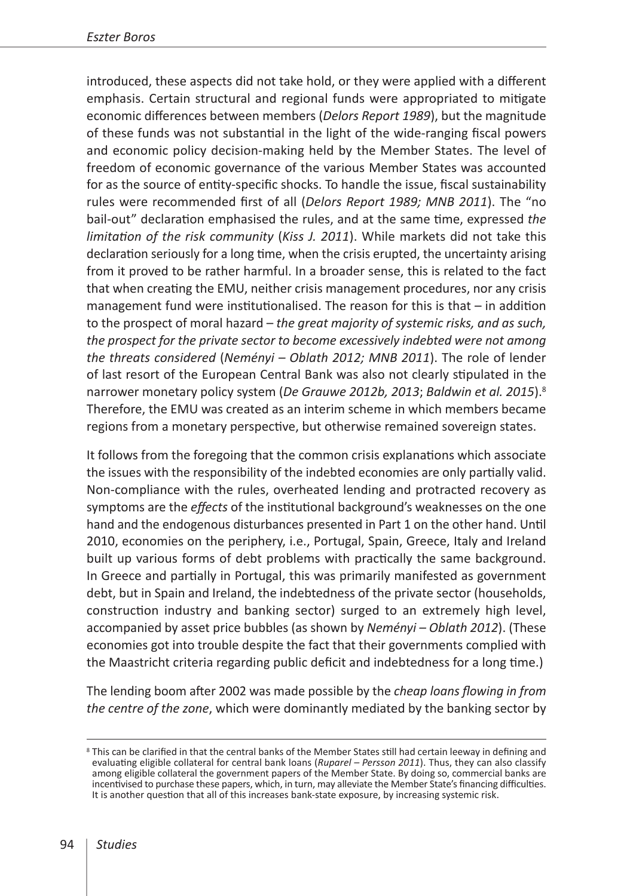introduced, these aspects did not take hold, or they were applied with a different emphasis. Certain structural and regional funds were appropriated to mitigate economic differences between members (*Delors Report 1989*), but the magnitude of these funds was not substantial in the light of the wide-ranging fiscal powers and economic policy decision-making held by the Member States. The level of freedom of economic governance of the various Member States was accounted for as the source of entity-specific shocks. To handle the issue, fiscal sustainability rules were recommended first of all (*Delors Report 1989; MNB 2011*). The "no bail-out" declaration emphasised the rules, and at the same time, expressed *the limitation of the risk community* (*Kiss J. 2011*). While markets did not take this declaration seriously for a long time, when the crisis erupted, the uncertainty arising from it proved to be rather harmful. In a broader sense, this is related to the fact that when creating the EMU, neither crisis management procedures, nor any crisis management fund were institutionalised. The reason for this is that – in addition to the prospect of moral hazard – *the great majority of systemic risks, and as such, the prospect for the private sector to become excessively indebted were not among the threats considered* (*Neményi – Oblath 2012; MNB 2011*). The role of lender of last resort of the European Central Bank was also not clearly stipulated in the narrower monetary policy system (*De Grauwe 2012b, 2013*; *Baldwin et al. 2015*).8 Therefore, the EMU was created as an interim scheme in which members became regions from a monetary perspective, but otherwise remained sovereign states.

It follows from the foregoing that the common crisis explanations which associate the issues with the responsibility of the indebted economies are only partially valid. Non-compliance with the rules, overheated lending and protracted recovery as symptoms are the *effects* of the institutional background's weaknesses on the one hand and the endogenous disturbances presented in Part 1 on the other hand. Until 2010, economies on the periphery, i.e., Portugal, Spain, Greece, Italy and Ireland built up various forms of debt problems with practically the same background. In Greece and partially in Portugal, this was primarily manifested as government debt, but in Spain and Ireland, the indebtedness of the private sector (households, construction industry and banking sector) surged to an extremely high level, accompanied by asset price bubbles (as shown by *Neményi – Oblath 2012*). (These economies got into trouble despite the fact that their governments complied with the Maastricht criteria regarding public deficit and indebtedness for a long time.)

The lending boom after 2002 was made possible by the *cheap loans flowing in from the centre of the zone*, which were dominantly mediated by the banking sector by

<sup>&</sup>lt;sup>8</sup> This can be clarified in that the central banks of the Member States still had certain leeway in defining and evaluating eligible collateral for central bank loans (*Ruparel – Persson 2011*). Thus, they can also classify among eligible collateral the government papers of the Member State. By doing so, commercial banks are incentivised to purchase these papers, which, in turn, may alleviate the Member State's financing difficulties. It is another question that all of this increases bank-state exposure, by increasing systemic risk.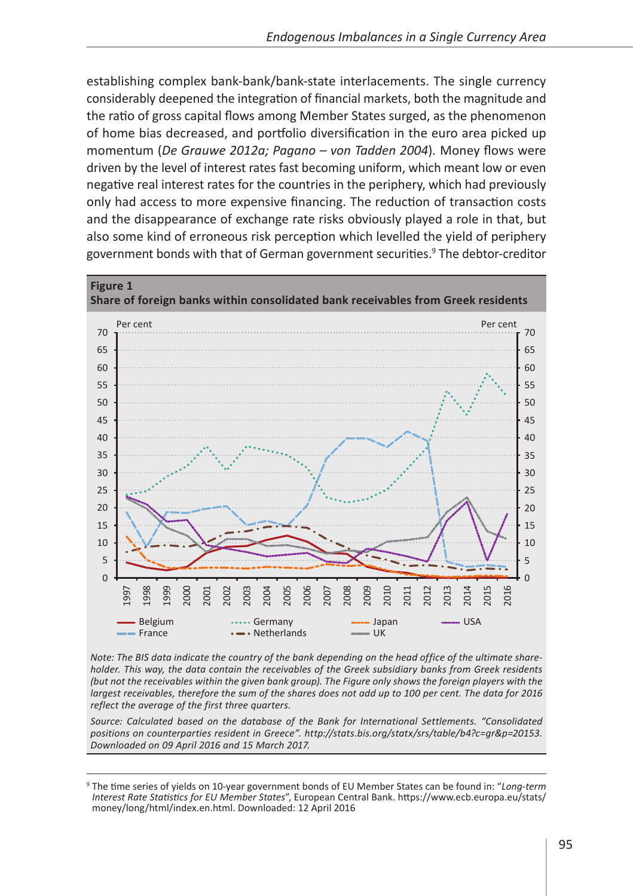establishing complex bank-bank/bank-state interlacements. The single currency considerably deepened the integration of financial markets, both the magnitude and the ratio of gross capital flows among Member States surged, as the phenomenon of home bias decreased, and portfolio diversification in the euro area picked up momentum (*De Grauwe 2012a; Pagano – von Tadden 2004*)*.* Money flows were driven by the level of interest rates fast becoming uniform, which meant low or even negative real interest rates for the countries in the periphery, which had previously only had access to more expensive financing. The reduction of transaction costs and the disappearance of exchange rate risks obviously played a role in that, but also some kind of erroneous risk perception which levelled the yield of periphery government bonds with that of German government securities.<sup>9</sup> The debtor-creditor



*Note: The BIS data indicate the country of the bank depending on the head office of the ultimate shareholder. This way, the data contain the receivables of the Greek subsidiary banks from Greek residents (but not the receivables within the given bank group). The Figure only shows the foreign players with the largest receivables, therefore the sum of the shares does not add up to 100 per cent. The data for 2016 reflect the average of the first three quarters.*

*Source: Calculated based on the database of the Bank for International Settlements. "Consolidated positions on counterparties resident in Greece". <http://stats.bis.org/statx/srs/table/b4?c=gr&p=20153>. Downloaded on 09 April 2016 and 15 March 2017.*

<sup>9</sup> The time series of yields on 10-year government bonds of EU Member States can be found in: "*Long-term Interest Rate Statistics for EU Member States*", European Central Bank. [https://www.ecb.europa.eu/stats/](https://www.ecb.europa.eu/stats/money/long/html/index.en.html) [money/long/html/index.en.html](https://www.ecb.europa.eu/stats/money/long/html/index.en.html). Downloaded: 12 April 2016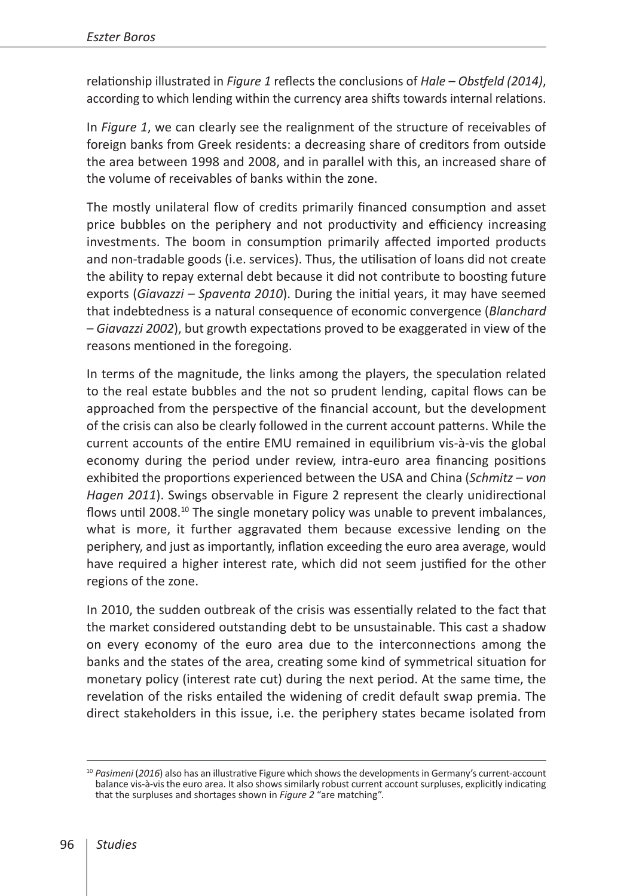relationship illustrated in *Figure 1* reflects the conclusions of *Hale – Obstfeld (2014)*, according to which lending within the currency area shifts towards internal relations.

In *Figure 1*, we can clearly see the realignment of the structure of receivables of foreign banks from Greek residents: a decreasing share of creditors from outside the area between 1998 and 2008, and in parallel with this, an increased share of the volume of receivables of banks within the zone.

The mostly unilateral flow of credits primarily financed consumption and asset price bubbles on the periphery and not productivity and efficiency increasing investments. The boom in consumption primarily affected imported products and non-tradable goods (i.e. services). Thus, the utilisation of loans did not create the ability to repay external debt because it did not contribute to boosting future exports (*Giavazzi – Spaventa 2010*). During the initial years, it may have seemed that indebtedness is a natural consequence of economic convergence (*Blanchard – Giavazzi 2002*), but growth expectations proved to be exaggerated in view of the reasons mentioned in the foregoing.

In terms of the magnitude, the links among the players, the speculation related to the real estate bubbles and the not so prudent lending, capital flows can be approached from the perspective of the financial account, but the development of the crisis can also be clearly followed in the current account patterns. While the current accounts of the entire EMU remained in equilibrium vis-à-vis the global economy during the period under review, intra-euro area financing positions exhibited the proportions experienced between the USA and China (*Schmitz – von Hagen 2011*). Swings observable in Figure 2 represent the clearly unidirectional flows until 2008.<sup>10</sup> The single monetary policy was unable to prevent imbalances, what is more, it further aggravated them because excessive lending on the periphery, and just as importantly, inflation exceeding the euro area average, would have required a higher interest rate, which did not seem justified for the other regions of the zone.

In 2010, the sudden outbreak of the crisis was essentially related to the fact that the market considered outstanding debt to be unsustainable. This cast a shadow on every economy of the euro area due to the interconnections among the banks and the states of the area, creating some kind of symmetrical situation for monetary policy (interest rate cut) during the next period. At the same time, the revelation of the risks entailed the widening of credit default swap premia. The direct stakeholders in this issue, i.e. the periphery states became isolated from

<sup>10</sup> *Pasimeni* (*2016*) also has an illustrative Figure which shows the developments in Germany's current-account balance vis-à-vis the euro area. It also shows similarly robust current account surpluses, explicitly indicating that the surpluses and shortages shown in *Figure 2* "are matching".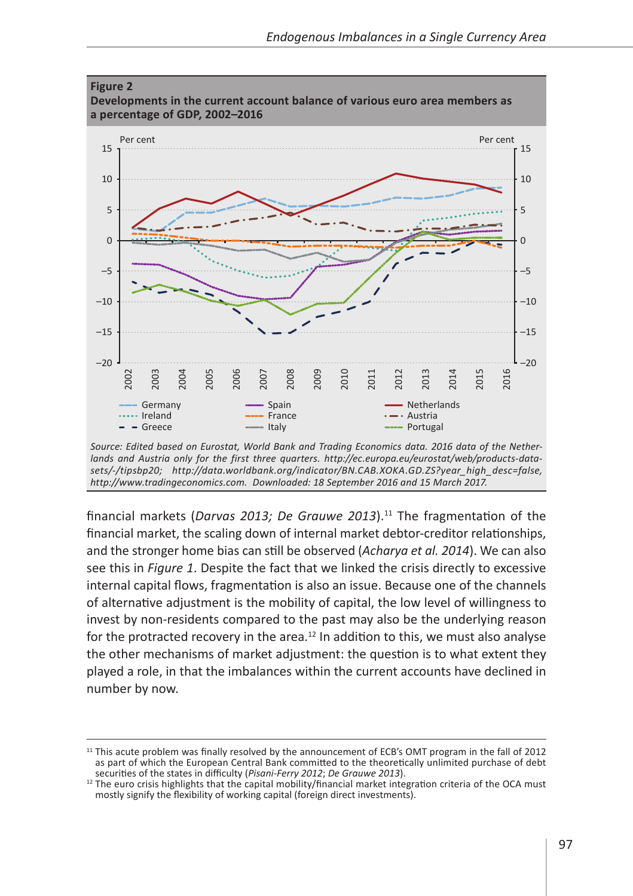

*Source: Edited based on Eurostat, World Bank and Trading Economics data. 2016 data of the Netherlands and Austria only for the first three quarters. [http://ec.europa.eu/eurostat/web/products-data](http://ec.europa.eu/eurostat/web/products-datasets/-/tipsbp20)[sets/-/tipsbp20](http://ec.europa.eu/eurostat/web/products-datasets/-/tipsbp20); [http://data.worldbank.org/indicator/BN.CAB.XOKA.GD.ZS?year\\_high\\_desc=false](http://data.worldbank.org/indicator/BN.CAB.XOKA.GD.ZS?year_high_desc=false), <http://www.tradingeconomics.com>. Downloaded: 18 September 2016 and 15 March 2017.*

financial markets (Darvas 2013; De Grauwe 2013).<sup>11</sup> The fragmentation of the financial market, the scaling down of internal market debtor-creditor relationships, and the stronger home bias can still be observed (*Acharya et al. 2014*). We can also see this in *Figure 1*. Despite the fact that we linked the crisis directly to excessive internal capital flows, fragmentation is also an issue. Because one of the channels of alternative adjustment is the mobility of capital, the low level of willingness to invest by non-residents compared to the past may also be the underlying reason for the protracted recovery in the area. $12$  In addition to this, we must also analyse the other mechanisms of market adjustment: the question is to what extent they played a role, in that the imbalances within the current accounts have declined in number by now.

<sup>&</sup>lt;sup>11</sup> This acute problem was finally resolved by the announcement of ECB's OMT program in the fall of 2012 as part of which the European Central Bank committed to the theoretically unlimited purchase of debt<br>securities of the states in difficulty (Pisani-Ferry 2012; De Grauwe 2013).

<sup>&</sup>lt;sup>12</sup> The euro crisis highlights that the capital mobility/financial market integration criteria of the OCA must mostly signify the flexibility of working capital (foreign direct investments).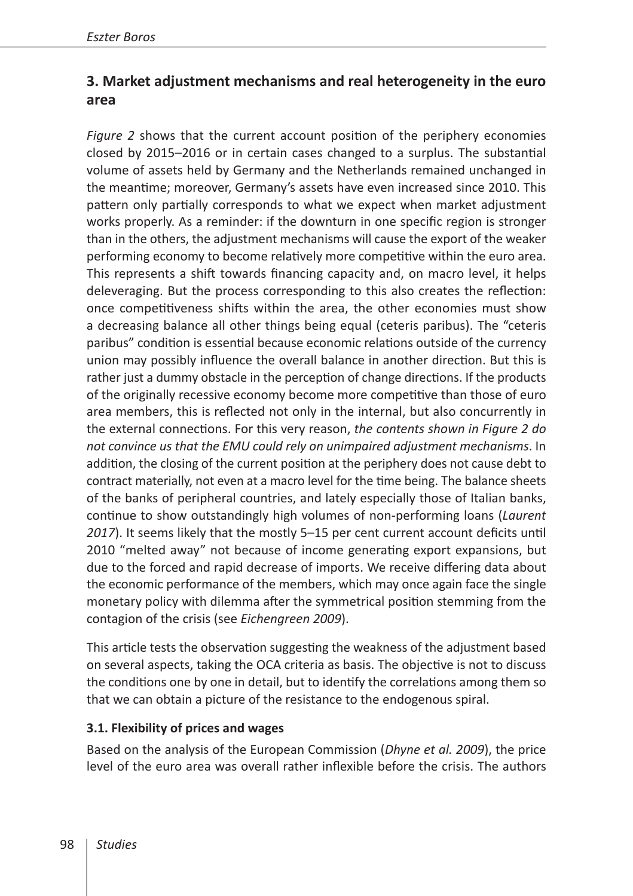# **3. Market adjustment mechanisms and real heterogeneity in the euro area**

*Figure 2* shows that the current account position of the periphery economies closed by 2015–2016 or in certain cases changed to a surplus. The substantial volume of assets held by Germany and the Netherlands remained unchanged in the meantime; moreover, Germany's assets have even increased since 2010. This pattern only partially corresponds to what we expect when market adjustment works properly. As a reminder: if the downturn in one specific region is stronger than in the others, the adjustment mechanisms will cause the export of the weaker performing economy to become relatively more competitive within the euro area. This represents a shift towards financing capacity and, on macro level, it helps deleveraging. But the process corresponding to this also creates the reflection: once competitiveness shifts within the area, the other economies must show a decreasing balance all other things being equal (ceteris paribus). The "ceteris paribus" condition is essential because economic relations outside of the currency union may possibly influence the overall balance in another direction. But this is rather just a dummy obstacle in the perception of change directions. If the products of the originally recessive economy become more competitive than those of euro area members, this is reflected not only in the internal, but also concurrently in the external connections. For this very reason, *the contents shown in Figure 2 do not convince us that the EMU could rely on unimpaired adjustment mechanisms*. In addition, the closing of the current position at the periphery does not cause debt to contract materially, not even at a macro level for the time being. The balance sheets of the banks of peripheral countries, and lately especially those of Italian banks, continue to show outstandingly high volumes of non-performing loans (*Laurent 2017*). It seems likely that the mostly 5–15 per cent current account deficits until 2010 "melted away" not because of income generating export expansions, but due to the forced and rapid decrease of imports. We receive differing data about the economic performance of the members, which may once again face the single monetary policy with dilemma after the symmetrical position stemming from the contagion of the crisis (see *Eichengreen 2009*).

This article tests the observation suggesting the weakness of the adjustment based on several aspects, taking the OCA criteria as basis. The objective is not to discuss the conditions one by one in detail, but to identify the correlations among them so that we can obtain a picture of the resistance to the endogenous spiral.

#### **3.1. Flexibility of prices and wages**

Based on the analysis of the European Commission (*Dhyne et al. 2009*), the price level of the euro area was overall rather inflexible before the crisis. The authors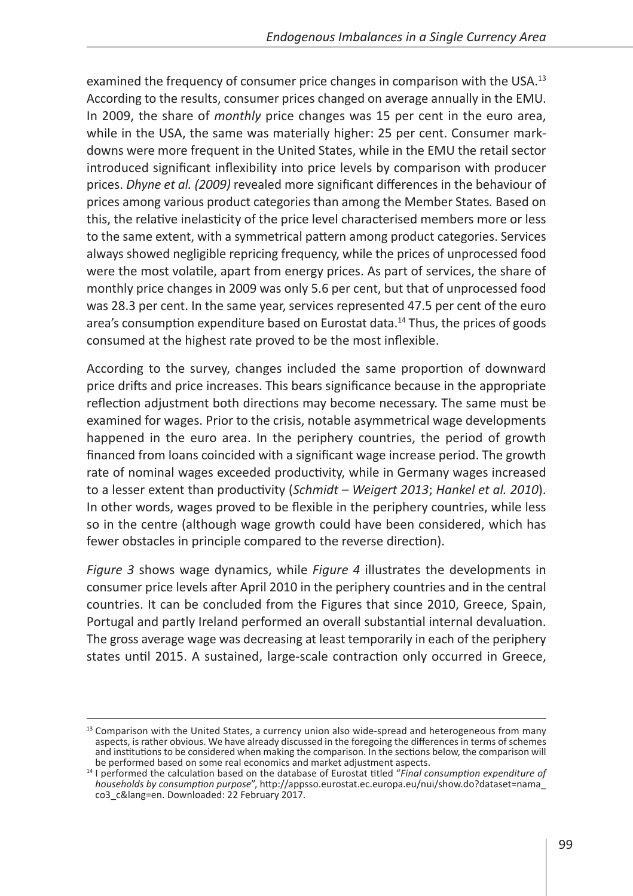examined the frequency of consumer price changes in comparison with the USA.<sup>13</sup> According to the results, consumer prices changed on average annually in the EMU. In 2009, the share of *monthly* price changes was 15 per cent in the euro area, while in the USA, the same was materially higher: 25 per cent. Consumer markdowns were more frequent in the United States, while in the EMU the retail sector introduced significant inflexibility into price levels by comparison with producer prices. *Dhyne et al. (2009)* revealed more significant differences in the behaviour of prices among various product categories than among the Member States*.* Based on this, the relative inelasticity of the price level characterised members more or less to the same extent, with a symmetrical pattern among product categories. Services always showed negligible repricing frequency, while the prices of unprocessed food were the most volatile, apart from energy prices. As part of services, the share of monthly price changes in 2009 was only 5.6 per cent, but that of unprocessed food was 28.3 per cent. In the same year, services represented 47.5 per cent of the euro area's consumption expenditure based on Eurostat data.<sup>14</sup> Thus, the prices of goods consumed at the highest rate proved to be the most inflexible.

According to the survey, changes included the same proportion of downward price drifts and price increases. This bears significance because in the appropriate reflection adjustment both directions may become necessary. The same must be examined for wages. Prior to the crisis, notable asymmetrical wage developments happened in the euro area. In the periphery countries, the period of growth financed from loans coincided with a significant wage increase period. The growth rate of nominal wages exceeded productivity, while in Germany wages increased to a lesser extent than productivity (*Schmidt – Weigert 2013*; *Hankel et al. 2010*). In other words, wages proved to be flexible in the periphery countries, while less so in the centre (although wage growth could have been considered, which has fewer obstacles in principle compared to the reverse direction).

*Figure 3* shows wage dynamics, while *Figure 4* illustrates the developments in consumer price levels after April 2010 in the periphery countries and in the central countries. It can be concluded from the Figures that since 2010, Greece, Spain, Portugal and partly Ireland performed an overall substantial internal devaluation. The gross average wage was decreasing at least temporarily in each of the periphery states until 2015. A sustained, large-scale contraction only occurred in Greece,

<sup>&</sup>lt;sup>13</sup> Comparison with the United States, a currency union also wide-spread and heterogeneous from many aspects, is rather obvious. We have already discussed in the foregoing the differences in terms of schemes and institutions to be considered when making the comparison. In the sections below, the comparison will be performed based on some real economics and market adjustment aspects.

<sup>&</sup>lt;sup>14</sup> I performed the calculation based on the database of Eurostat titled "*Final consumption expenditure of households by consumption purpose*", [http://appsso.eurostat.ec.europa.eu/nui/show.do?dataset=nama\\_](http://appsso.eurostat.ec.europa.eu/nui/show.do?dataset=nama_co3_c&lang=en) [co3\\_c&lang=en.](http://appsso.eurostat.ec.europa.eu/nui/show.do?dataset=nama_co3_c&lang=en) Downloaded: 22 February 2017.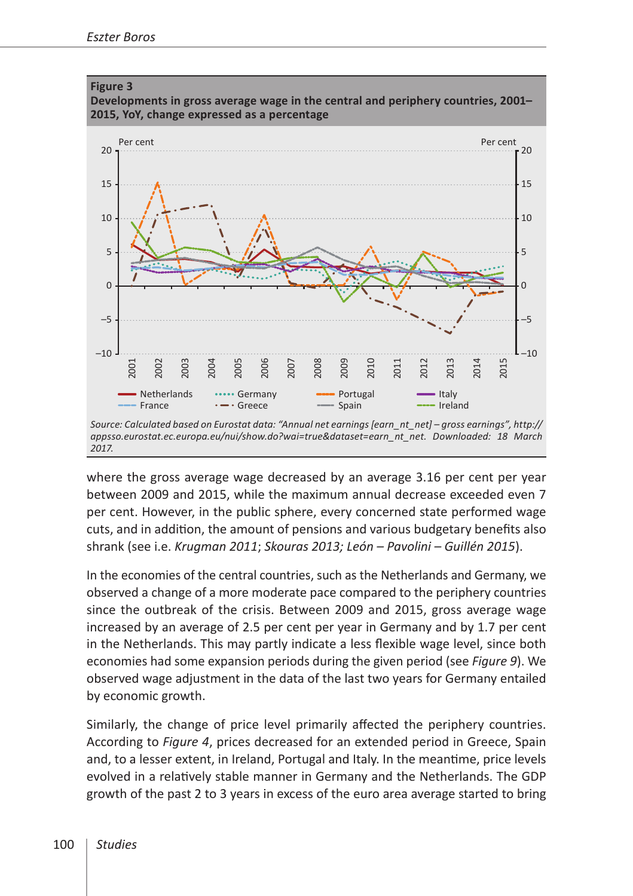

where the gross average wage decreased by an average 3.16 per cent per year between 2009 and 2015, while the maximum annual decrease exceeded even 7 per cent. However, in the public sphere, every concerned state performed wage cuts, and in addition, the amount of pensions and various budgetary benefits also shrank (see i.e. *Krugman 2011*; *Skouras 2013; León – Pavolini – Guillén 2015*).

In the economies of the central countries, such as the Netherlands and Germany, we observed a change of a more moderate pace compared to the periphery countries since the outbreak of the crisis. Between 2009 and 2015, gross average wage increased by an average of 2.5 per cent per year in Germany and by 1.7 per cent in the Netherlands. This may partly indicate a less flexible wage level, since both economies had some expansion periods during the given period (see *Figure 9*). We observed wage adjustment in the data of the last two years for Germany entailed by economic growth.

Similarly, the change of price level primarily affected the periphery countries. According to *Figure 4*, prices decreased for an extended period in Greece, Spain and, to a lesser extent, in Ireland, Portugal and Italy. In the meantime, price levels evolved in a relatively stable manner in Germany and the Netherlands. The GDP growth of the past 2 to 3 years in excess of the euro area average started to bring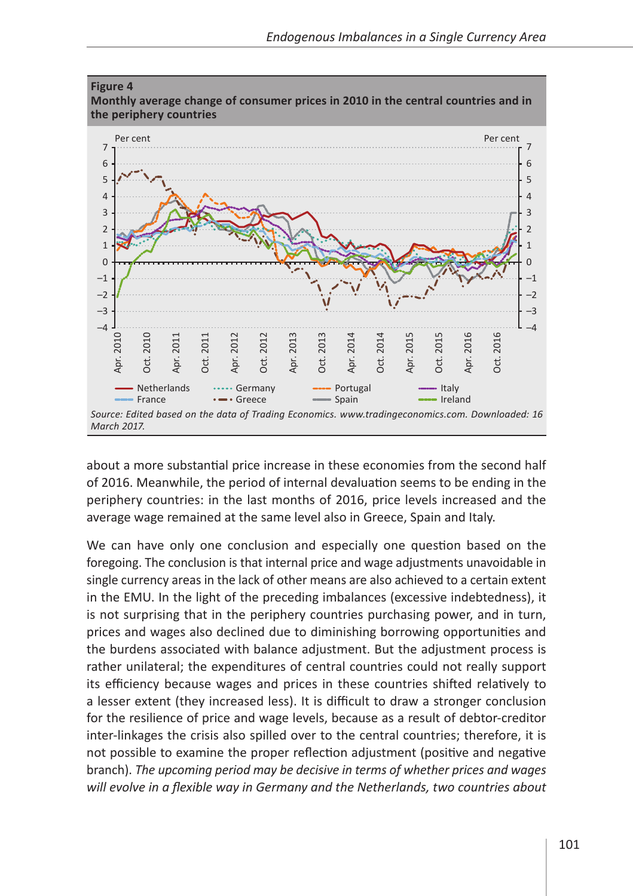

about a more substantial price increase in these economies from the second half of 2016. Meanwhile, the period of internal devaluation seems to be ending in the periphery countries: in the last months of 2016, price levels increased and the average wage remained at the same level also in Greece, Spain and Italy.

We can have only one conclusion and especially one question based on the foregoing. The conclusion is that internal price and wage adjustments unavoidable in single currency areas in the lack of other means are also achieved to a certain extent in the EMU. In the light of the preceding imbalances (excessive indebtedness), it is not surprising that in the periphery countries purchasing power, and in turn, prices and wages also declined due to diminishing borrowing opportunities and the burdens associated with balance adjustment. But the adjustment process is rather unilateral; the expenditures of central countries could not really support its efficiency because wages and prices in these countries shifted relatively to a lesser extent (they increased less). It is difficult to draw a stronger conclusion for the resilience of price and wage levels, because as a result of debtor-creditor inter-linkages the crisis also spilled over to the central countries; therefore, it is not possible to examine the proper reflection adjustment (positive and negative branch). *The upcoming period may be decisive in terms of whether prices and wages will evolve in a flexible way in Germany and the Netherlands, two countries about*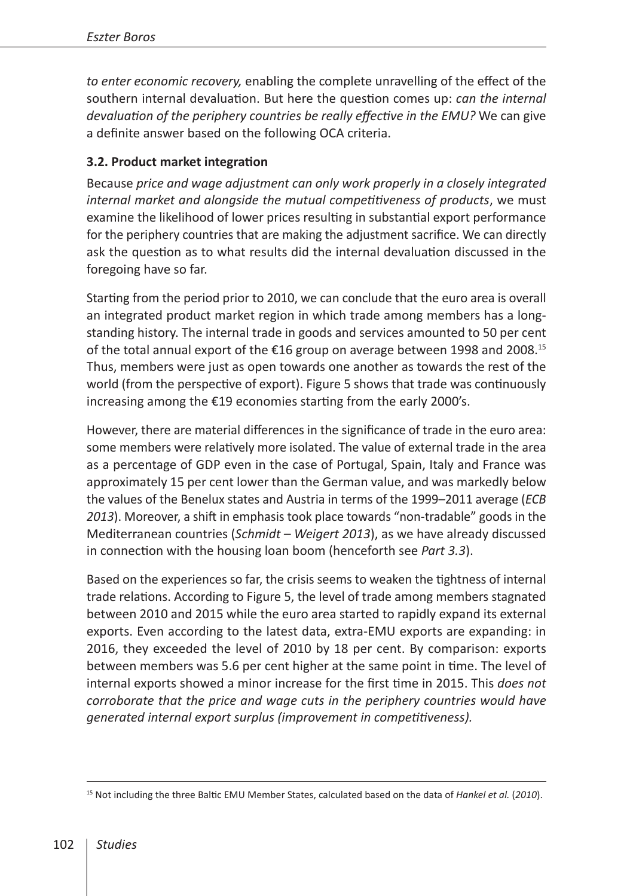*to enter economic recovery,* enabling the complete unravelling of the effect of the southern internal devaluation. But here the question comes up: *can the internal devaluation of the periphery countries be really effective in the EMU?* We can give a definite answer based on the following OCA criteria.

### **3.2. Product market integration**

Because *price and wage adjustment can only work properly in a closely integrated internal market and alongside the mutual competitiveness of products*, we must examine the likelihood of lower prices resulting in substantial export performance for the periphery countries that are making the adjustment sacrifice. We can directly ask the question as to what results did the internal devaluation discussed in the foregoing have so far.

Starting from the period prior to 2010, we can conclude that the euro area is overall an integrated product market region in which trade among members has a longstanding history. The internal trade in goods and services amounted to 50 per cent of the total annual export of the €16 group on average between 1998 and 2008.<sup>15</sup> Thus, members were just as open towards one another as towards the rest of the world (from the perspective of export). Figure 5 shows that trade was continuously increasing among the €19 economies starting from the early 2000's.

However, there are material differences in the significance of trade in the euro area: some members were relatively more isolated. The value of external trade in the area as a percentage of GDP even in the case of Portugal, Spain, Italy and France was approximately 15 per cent lower than the German value, and was markedly below the values of the Benelux states and Austria in terms of the 1999–2011 average (*ECB 2013*). Moreover, a shift in emphasis took place towards "non-tradable" goods in the Mediterranean countries (*Schmidt – Weigert 2013*), as we have already discussed in connection with the housing loan boom (henceforth see *Part 3.3*).

Based on the experiences so far, the crisis seems to weaken the tightness of internal trade relations. According to Figure 5, the level of trade among members stagnated between 2010 and 2015 while the euro area started to rapidly expand its external exports. Even according to the latest data, extra-EMU exports are expanding: in 2016, they exceeded the level of 2010 by 18 per cent. By comparison: exports between members was 5.6 per cent higher at the same point in time. The level of internal exports showed a minor increase for the first time in 2015. This *does not corroborate that the price and wage cuts in the periphery countries would have generated internal export surplus (improvement in competitiveness).*

<sup>15</sup> Not including the three Baltic EMU Member States, calculated based on the data of *Hankel et al.* (*2010*).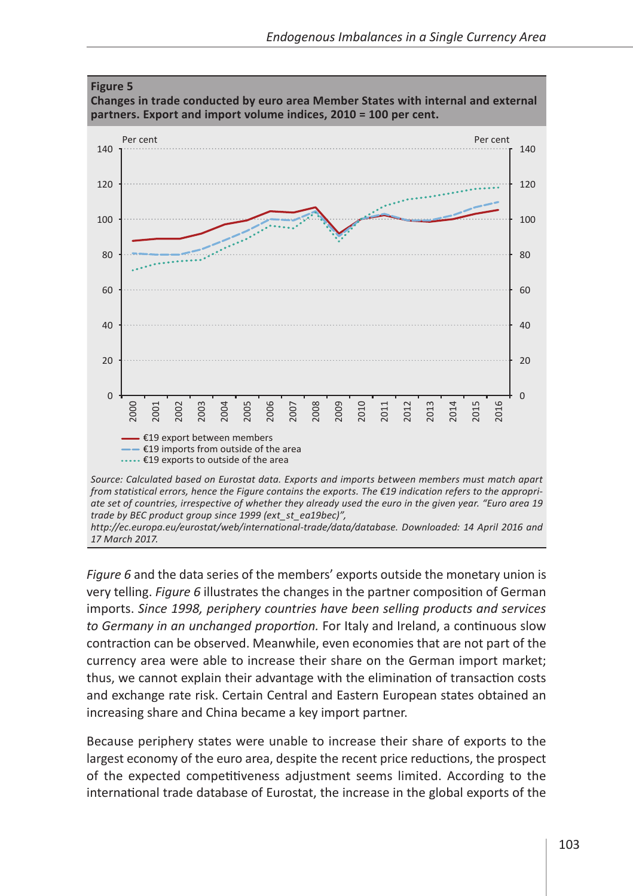

*Source: Calculated based on Eurostat data. Exports and imports between members must match apart from statistical errors, hence the Figure contains the exports. The €19 indication refers to the appropriate set of countries, irrespective of whether they already used the euro in the given year. "Euro area 19 trade by BEC product group since 1999 (ext\_st\_ea19bec)",* 

*[http://ec.europa.eu/eurostat/web/international-trade/data/database.](http://ec.europa.eu/eurostat/web/international-trade/data/database) Downloaded: 14 April 2016 and 17 March 2017.*

*Figure 6* and the data series of the members' exports outside the monetary union is very telling. *Figure 6* illustrates the changes in the partner composition of German imports. *Since 1998, periphery countries have been selling products and services to Germany in an unchanged proportion.* For Italy and Ireland, a continuous slow contraction can be observed. Meanwhile, even economies that are not part of the currency area were able to increase their share on the German import market; thus, we cannot explain their advantage with the elimination of transaction costs and exchange rate risk. Certain Central and Eastern European states obtained an increasing share and China became a key import partner.

Because periphery states were unable to increase their share of exports to the largest economy of the euro area, despite the recent price reductions, the prospect of the expected competitiveness adjustment seems limited. According to the international trade database of Eurostat, the increase in the global exports of the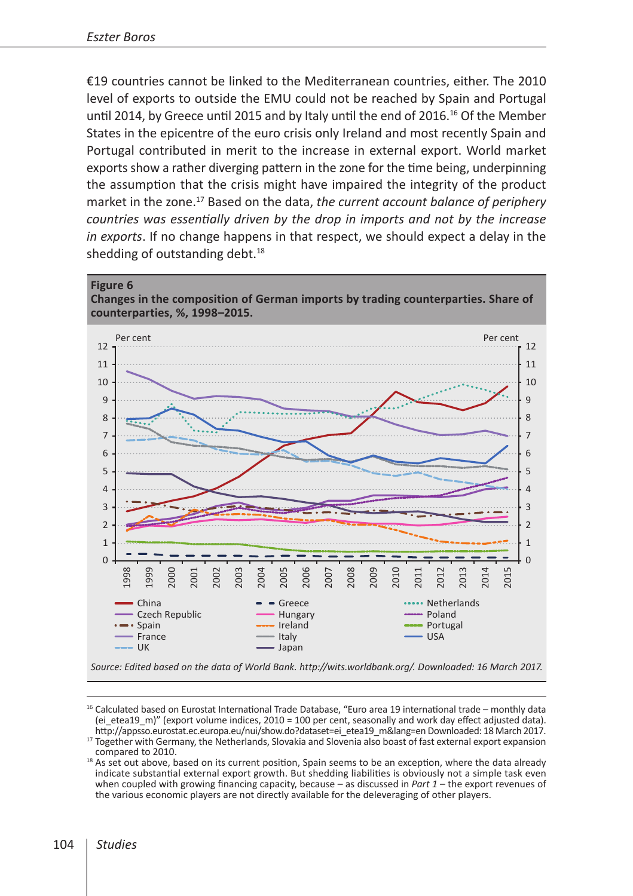€19 countries cannot be linked to the Mediterranean countries, either. The 2010 level of exports to outside the EMU could not be reached by Spain and Portugal until 2014, by Greece until 2015 and by Italy until the end of 2016.<sup>16</sup> Of the Member States in the epicentre of the euro crisis only Ireland and most recently Spain and Portugal contributed in merit to the increase in external export. World market exports show a rather diverging pattern in the zone for the time being, underpinning the assumption that the crisis might have impaired the integrity of the product market in the zone.17 Based on the data, *the current account balance of periphery countries was essentially driven by the drop in imports and not by the increase in exports*. If no change happens in that respect, we should expect a delay in the shedding of outstanding debt. $18$ 





*Source: Edited based on the data of World Bank. [http://wits.worldbank.org/.](http://wits.worldbank.org/) Downloaded: 16 March 2017.*

<sup>&</sup>lt;sup>16</sup> Calculated based on Eurostat International Trade Database, "Euro area 19 international trade – monthly data (ei\_etea19\_m)" (export volume indices, 2010 = 100 per cent, seasonally and work day effect adjusted data).<br>http://appsso.eurostat.ec.europa.eu/nui/show.do?dataset=ei\_etea19\_m&lang=en Downloaded: 18 March 2017.

 $17$  Together with Germany, the Netherlands, Slovakia and Slovenia also boast of fast external export expansion

compared to 2010.<br><sup>18</sup> As set out above, based on its current position, Spain seems to be an exception, where the data already indicate substantial external export growth. But shedding liabilities is obviously not a simple task even when coupled with growing financing capacity, because – as discussed in *Part 1* – the export revenues of the various economic players are not directly available for the deleveraging of other players.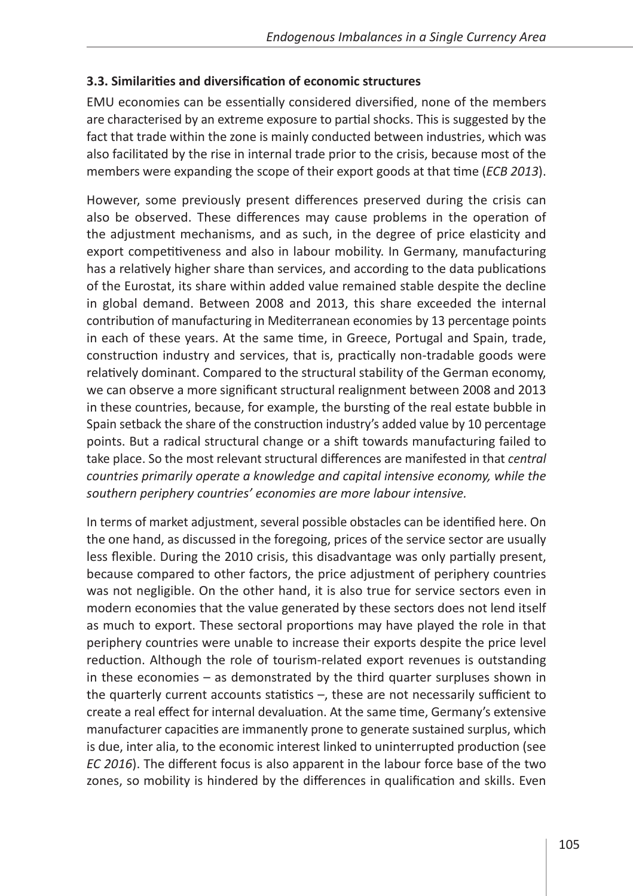#### **3.3. Similarities and diversification of economic structures**

EMU economies can be essentially considered diversified, none of the members are characterised by an extreme exposure to partial shocks. This is suggested by the fact that trade within the zone is mainly conducted between industries, which was also facilitated by the rise in internal trade prior to the crisis, because most of the members were expanding the scope of their export goods at that time (*ECB 2013*).

However, some previously present differences preserved during the crisis can also be observed. These differences may cause problems in the operation of the adjustment mechanisms, and as such, in the degree of price elasticity and export competitiveness and also in labour mobility. In Germany, manufacturing has a relatively higher share than services, and according to the data publications of the Eurostat, its share within added value remained stable despite the decline in global demand. Between 2008 and 2013, this share exceeded the internal contribution of manufacturing in Mediterranean economies by 13 percentage points in each of these years. At the same time, in Greece, Portugal and Spain, trade, construction industry and services, that is, practically non-tradable goods were relatively dominant. Compared to the structural stability of the German economy, we can observe a more significant structural realignment between 2008 and 2013 in these countries, because, for example, the bursting of the real estate bubble in Spain setback the share of the construction industry's added value by 10 percentage points. But a radical structural change or a shift towards manufacturing failed to take place. So the most relevant structural differences are manifested in that *central countries primarily operate a knowledge and capital intensive economy, while the southern periphery countries' economies are more labour intensive.*

In terms of market adjustment, several possible obstacles can be identified here. On the one hand, as discussed in the foregoing, prices of the service sector are usually less flexible. During the 2010 crisis, this disadvantage was only partially present, because compared to other factors, the price adjustment of periphery countries was not negligible. On the other hand, it is also true for service sectors even in modern economies that the value generated by these sectors does not lend itself as much to export. These sectoral proportions may have played the role in that periphery countries were unable to increase their exports despite the price level reduction. Although the role of tourism-related export revenues is outstanding in these economies – as demonstrated by the third quarter surpluses shown in the quarterly current accounts statistics –, these are not necessarily sufficient to create a real effect for internal devaluation. At the same time, Germany's extensive manufacturer capacities are immanently prone to generate sustained surplus, which is due, inter alia, to the economic interest linked to uninterrupted production (see *EC 2016*). The different focus is also apparent in the labour force base of the two zones, so mobility is hindered by the differences in qualification and skills. Even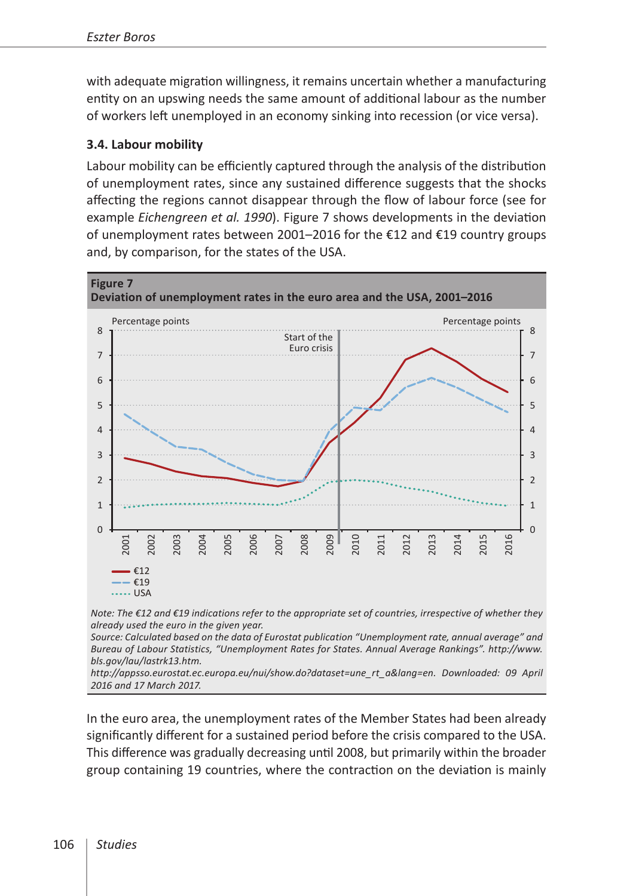with adequate migration willingness, it remains uncertain whether a manufacturing entity on an upswing needs the same amount of additional labour as the number of workers left unemployed in an economy sinking into recession (or vice versa).

### **3.4. Labour mobility**

Labour mobility can be efficiently captured through the analysis of the distribution of unemployment rates, since any sustained difference suggests that the shocks affecting the regions cannot disappear through the flow of labour force (see for example *Eichengreen et al. 1990*). Figure 7 shows developments in the deviation of unemployment rates between 2001–2016 for the €12 and €19 country groups and, by comparison, for the states of the USA.



*Note: The €12 and €19 indications refer to the appropriate set of countries, irrespective of whether they already used the euro in the given year.*

*Source: Calculated based on the data of Eurostat publication "Unemployment rate, annual average" and Bureau of Labour Statistics, "Unemployment Rates for States. Annual Average Rankings". [http://www.](http://www.bls.gov/lau/lastrk13.htm) [bls.gov/lau/lastrk13.htm](http://www.bls.gov/lau/lastrk13.htm).*

*[http://appsso.eurostat.ec.europa.eu/nui/show.do?dataset=une\\_rt\\_a&lang=en](http://appsso.eurostat.ec.europa.eu/nui/show.do?dataset=une_rt_a&lang=en). Downloaded: 09 April 2016 and 17 March 2017.*

In the euro area, the unemployment rates of the Member States had been already significantly different for a sustained period before the crisis compared to the USA. This difference was gradually decreasing until 2008, but primarily within the broader group containing 19 countries, where the contraction on the deviation is mainly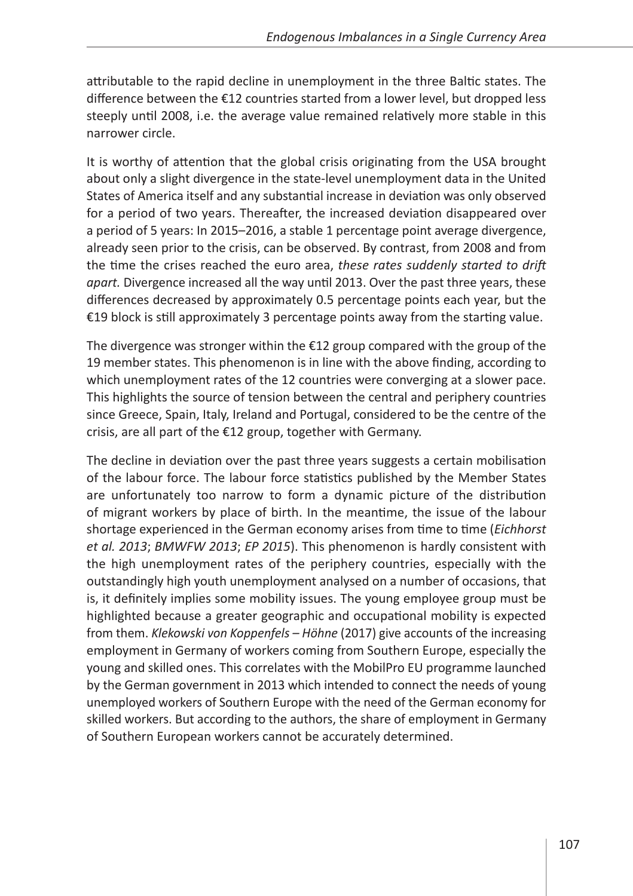attributable to the rapid decline in unemployment in the three Baltic states. The difference between the €12 countries started from a lower level, but dropped less steeply until 2008, i.e. the average value remained relatively more stable in this narrower circle.

It is worthy of attention that the global crisis originating from the USA brought about only a slight divergence in the state-level unemployment data in the United States of America itself and any substantial increase in deviation was only observed for a period of two years. Thereafter, the increased deviation disappeared over a period of 5 years: In 2015–2016, a stable 1 percentage point average divergence, already seen prior to the crisis, can be observed. By contrast, from 2008 and from the time the crises reached the euro area, *these rates suddenly started to drift apart.* Divergence increased all the way until 2013. Over the past three years, these differences decreased by approximately 0.5 percentage points each year, but the €19 block is still approximately 3 percentage points away from the starting value.

The divergence was stronger within the  $E12$  group compared with the group of the 19 member states. This phenomenon is in line with the above finding, according to which unemployment rates of the 12 countries were converging at a slower pace. This highlights the source of tension between the central and periphery countries since Greece, Spain, Italy, Ireland and Portugal, considered to be the centre of the crisis, are all part of the €12 group, together with Germany.

The decline in deviation over the past three years suggests a certain mobilisation of the labour force. The labour force statistics published by the Member States are unfortunately too narrow to form a dynamic picture of the distribution of migrant workers by place of birth. In the meantime, the issue of the labour shortage experienced in the German economy arises from time to time (*Eichhorst et al. 2013*; *BMWFW 2013*; *EP 2015*). This phenomenon is hardly consistent with the high unemployment rates of the periphery countries, especially with the outstandingly high youth unemployment analysed on a number of occasions, that is, it definitely implies some mobility issues. The young employee group must be highlighted because a greater geographic and occupational mobility is expected from them. *Klekowski von Koppenfels – Höhne* (2017) give accounts of the increasing employment in Germany of workers coming from Southern Europe, especially the young and skilled ones. This correlates with the MobilPro EU programme launched by the German government in 2013 which intended to connect the needs of young unemployed workers of Southern Europe with the need of the German economy for skilled workers. But according to the authors, the share of employment in Germany of Southern European workers cannot be accurately determined.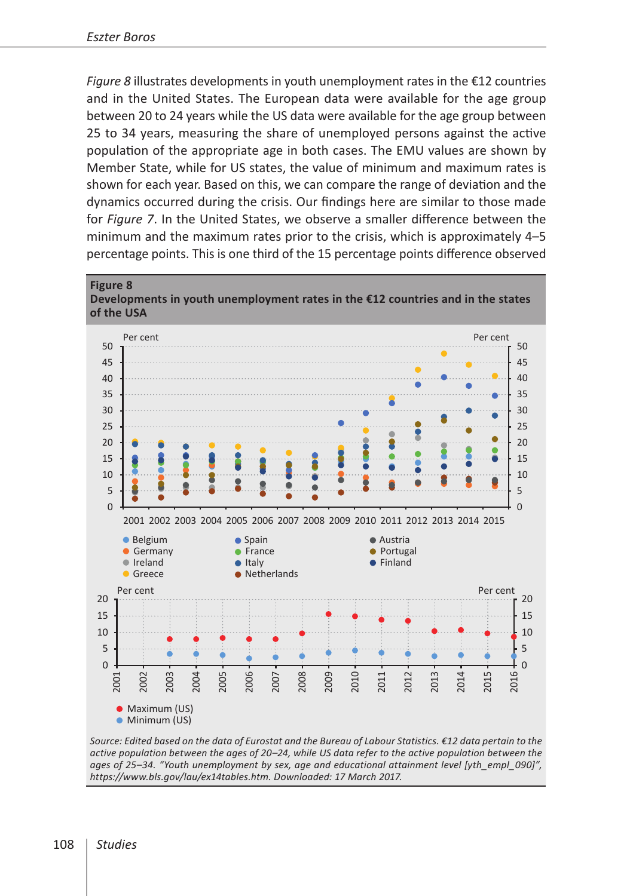*Figure 8* illustrates developments in youth unemployment rates in the €12 countries and in the United States. The European data were available for the age group between 20 to 24 years while the US data were available for the age group between 25 to 34 years, measuring the share of unemployed persons against the active population of the appropriate age in both cases. The EMU values are shown by Member State, while for US states, the value of minimum and maximum rates is shown for each year. Based on this, we can compare the range of deviation and the dynamics occurred during the crisis. Our findings here are similar to those made for *Figure 7*. In the United States, we observe a smaller difference between the minimum and the maximum rates prior to the crisis, which is approximately 4–5 percentage points. This is one third of the 15 percentage points difference observed



*Source: Edited based on the data of Eurostat and the Bureau of Labour Statistics. €12 data pertain to the active population between the ages of 20–24, while US data refer to the active population between the ages of 25–34. "Youth unemployment by sex, age and educational attainment level [yth\_empl\_090]", <https://www.bls.gov/lau/ex14tables.htm>. Downloaded: 17 March 2017.*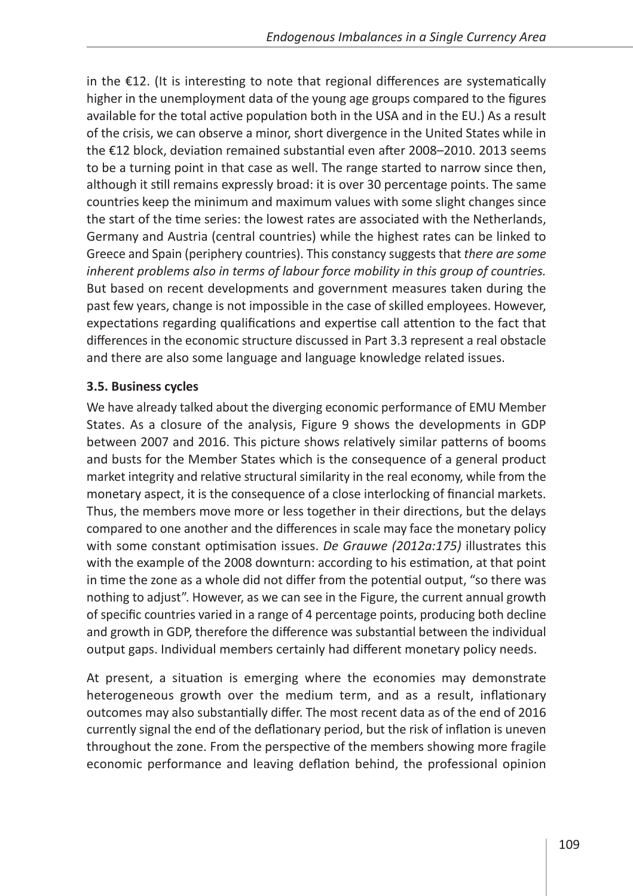in the €12. (It is interesting to note that regional differences are systematically higher in the unemployment data of the young age groups compared to the figures available for the total active population both in the USA and in the EU.) As a result of the crisis, we can observe a minor, short divergence in the United States while in the €12 block, deviation remained substantial even after 2008–2010. 2013 seems to be a turning point in that case as well. The range started to narrow since then, although it still remains expressly broad: it is over 30 percentage points. The same countries keep the minimum and maximum values with some slight changes since the start of the time series: the lowest rates are associated with the Netherlands, Germany and Austria (central countries) while the highest rates can be linked to Greece and Spain (periphery countries). This constancy suggests that *there are some inherent problems also in terms of labour force mobility in this group of countries.*  But based on recent developments and government measures taken during the past few years, change is not impossible in the case of skilled employees. However, expectations regarding qualifications and expertise call attention to the fact that differences in the economic structure discussed in Part 3.3 represent a real obstacle and there are also some language and language knowledge related issues.

#### **3.5. Business cycles**

We have already talked about the diverging economic performance of EMU Member States. As a closure of the analysis, Figure 9 shows the developments in GDP between 2007 and 2016. This picture shows relatively similar patterns of booms and busts for the Member States which is the consequence of a general product market integrity and relative structural similarity in the real economy, while from the monetary aspect, it is the consequence of a close interlocking of financial markets. Thus, the members move more or less together in their directions, but the delays compared to one another and the differences in scale may face the monetary policy with some constant optimisation issues. *De Grauwe (2012a:175)* illustrates this with the example of the 2008 downturn: according to his estimation, at that point in time the zone as a whole did not differ from the potential output, "so there was nothing to adjust". However, as we can see in the Figure, the current annual growth of specific countries varied in a range of 4 percentage points, producing both decline and growth in GDP, therefore the difference was substantial between the individual output gaps. Individual members certainly had different monetary policy needs.

At present, a situation is emerging where the economies may demonstrate heterogeneous growth over the medium term, and as a result, inflationary outcomes may also substantially differ. The most recent data as of the end of 2016 currently signal the end of the deflationary period, but the risk of inflation is uneven throughout the zone. From the perspective of the members showing more fragile economic performance and leaving deflation behind, the professional opinion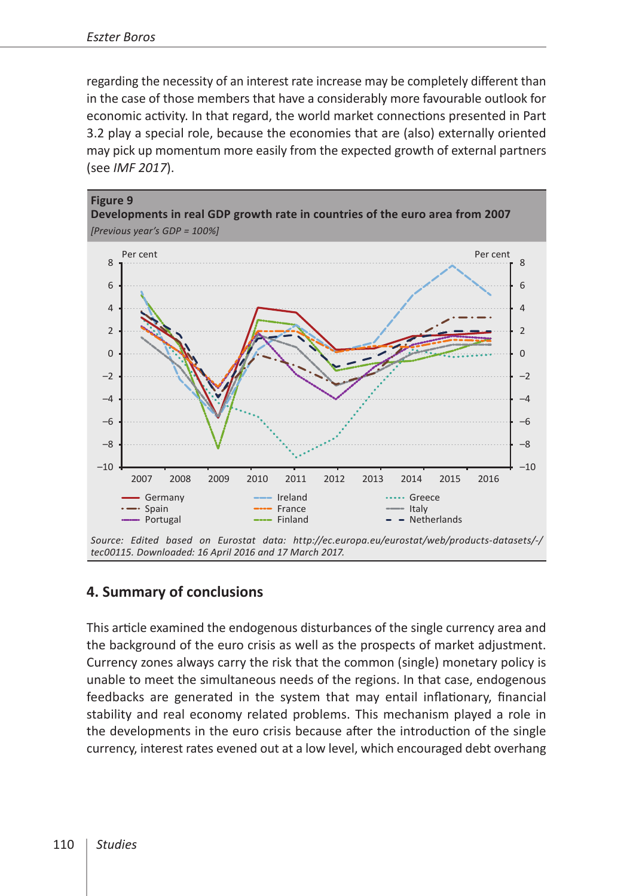regarding the necessity of an interest rate increase may be completely different than in the case of those members that have a considerably more favourable outlook for economic activity. In that regard, the world market connections presented in Part 3.2 play a special role, because the economies that are (also) externally oriented may pick up momentum more easily from the expected growth of external partners (see *IMF 2017*).



## **4. Summary of conclusions**

This article examined the endogenous disturbances of the single currency area and the background of the euro crisis as well as the prospects of market adjustment. Currency zones always carry the risk that the common (single) monetary policy is unable to meet the simultaneous needs of the regions. In that case, endogenous feedbacks are generated in the system that may entail inflationary, financial stability and real economy related problems. This mechanism played a role in the developments in the euro crisis because after the introduction of the single currency, interest rates evened out at a low level, which encouraged debt overhang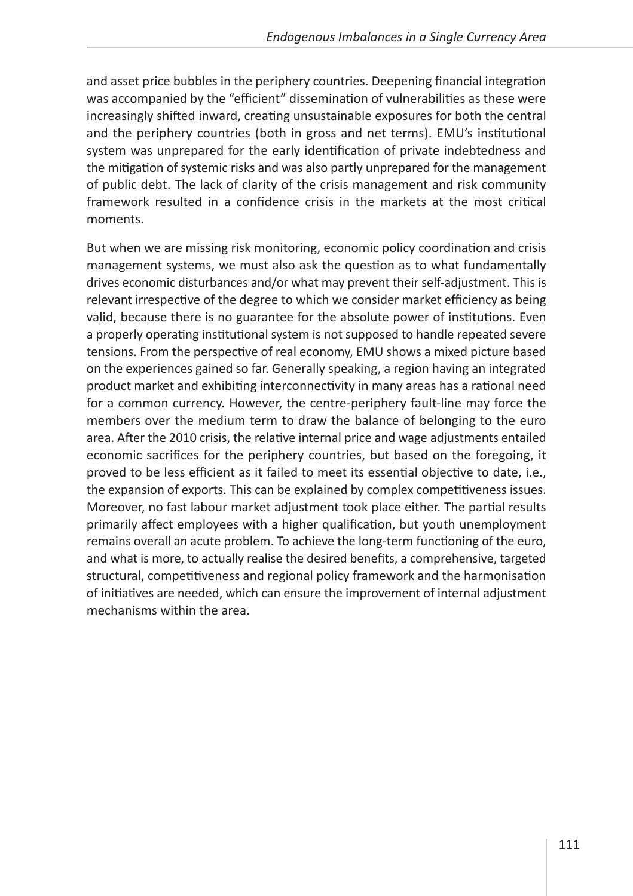and asset price bubbles in the periphery countries. Deepening financial integration was accompanied by the "efficient" dissemination of vulnerabilities as these were increasingly shifted inward, creating unsustainable exposures for both the central and the periphery countries (both in gross and net terms). EMU's institutional system was unprepared for the early identification of private indebtedness and the mitigation of systemic risks and was also partly unprepared for the management of public debt. The lack of clarity of the crisis management and risk community framework resulted in a confidence crisis in the markets at the most critical moments.

But when we are missing risk monitoring, economic policy coordination and crisis management systems, we must also ask the question as to what fundamentally drives economic disturbances and/or what may prevent their self-adjustment. This is relevant irrespective of the degree to which we consider market efficiency as being valid, because there is no guarantee for the absolute power of institutions. Even a properly operating institutional system is not supposed to handle repeated severe tensions. From the perspective of real economy, EMU shows a mixed picture based on the experiences gained so far. Generally speaking, a region having an integrated product market and exhibiting interconnectivity in many areas has a rational need for a common currency. However, the centre-periphery fault-line may force the members over the medium term to draw the balance of belonging to the euro area. After the 2010 crisis, the relative internal price and wage adjustments entailed economic sacrifices for the periphery countries, but based on the foregoing, it proved to be less efficient as it failed to meet its essential objective to date, i.e., the expansion of exports. This can be explained by complex competitiveness issues. Moreover, no fast labour market adjustment took place either. The partial results primarily affect employees with a higher qualification, but youth unemployment remains overall an acute problem. To achieve the long-term functioning of the euro, and what is more, to actually realise the desired benefits, a comprehensive, targeted structural, competitiveness and regional policy framework and the harmonisation of initiatives are needed, which can ensure the improvement of internal adjustment mechanisms within the area.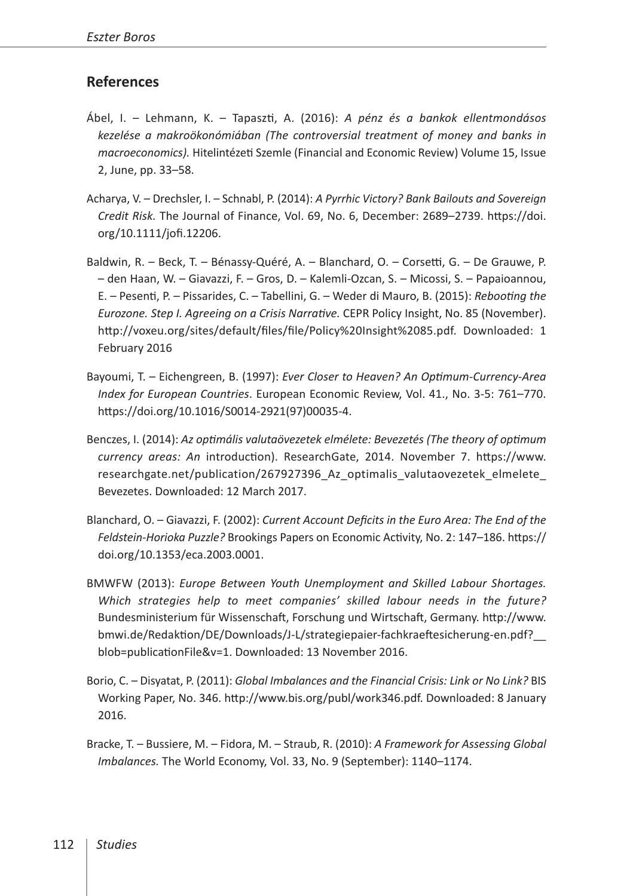#### **References**

- Ábel, I. Lehmann, K. Tapaszti, A. (2016): *A pénz és a bankok ellentmondásos kezelése a makroökonómiában (The controversial treatment of money and banks in macroeconomics).* Hitelintézeti Szemle (Financial and Economic Review) Volume 15, Issue 2, June, pp. 33–58.
- Acharya, V. Drechsler, I. Schnabl, P. (2014): *A Pyrrhic Victory? Bank Bailouts and Sovereign Credit Risk.* The Journal of Finance, Vol. 69, No. 6, December: 2689–2739. [https://doi.](https://doi.org/10.1111/jofi.12206) [org/10.1111/jofi.12206](https://doi.org/10.1111/jofi.12206).
- Baldwin, R. Beck, T. Bénassy-Quéré, A. Blanchard, O. Corsetti, G. De Grauwe, P. – den Haan, W. – Giavazzi, F. – Gros, D. – Kalemli-Ozcan, S. – Micossi, S. – Papaioannou, E. – Pesenti, P. – Pissarides, C. – Tabellini, G. – Weder di Mauro, B. (2015): *Rebooting the Eurozone. Step I. Agreeing on a Crisis Narrative.* CEPR Policy Insight, No. 85 (November). [http://voxeu.org/sites/default/files/file/Policy%20Insight%2085.pdf](http://voxeu.org/sites/default/files/file/Policy Insight 85.pdf). Downloaded: 1 February 2016
- Bayoumi, T. Eichengreen, B. (1997): *Ever Closer to Heaven? An Optimum-Currency-Area Index for European Countries*. European Economic Review, Vol. 41., No. 3-5: 761–770. [https://doi.org/10.1016/S0014-2921\(97\)00035-4](https://doi.org/10.1016/S0014-2921(97)00035-4).
- Benczes, I. (2014): *Az optimális valutaövezetek elmélete: Bevezetés (The theory of optimum currency areas: An* introduction). ResearchGate, 2014. November 7. [https://www.](https://www.researchgate.net/publication/267927396_Az_optimalis_valutaovezetek_elmelete_Bevezetes) [researchgate.net/publication/267927396\\_Az\\_optimalis\\_valutaovezetek\\_elmelete\\_](https://www.researchgate.net/publication/267927396_Az_optimalis_valutaovezetek_elmelete_Bevezetes) [Bevezetes](https://www.researchgate.net/publication/267927396_Az_optimalis_valutaovezetek_elmelete_Bevezetes). Downloaded: 12 March 2017.
- Blanchard, O. Giavazzi, F. (2002): *Current Account Deficits in the Euro Area: The End of the Feldstein-Horioka Puzzle?* Brookings Papers on Economic Activity, No. 2: 147–186. [https://](https://doi.org/10.1353/eca.2003.0001) [doi.org/10.1353/eca.2003.0001](https://doi.org/10.1353/eca.2003.0001).
- BMWFW (2013): *Europe Between Youth Unemployment and Skilled Labour Shortages. Which strategies help to meet companies' skilled labour needs in the future?* Bundesministerium für Wissenschaft, Forschung und Wirtschaft, Germany. [http://www.](http://www.bmwi.de/Redaktion/DE/Downloads/J-L/strategiepaier-fachkraeftesicherung-en.pdf?__blob=publicationFile&v=1) [bmwi.de/Redaktion/DE/Downloads/J-L/strategiepaier-fachkraeftesicherung-en.pdf?\\_\\_](http://www.bmwi.de/Redaktion/DE/Downloads/J-L/strategiepaier-fachkraeftesicherung-en.pdf?__blob=publicationFile&v=1) [blob=publicationFile&v=1](http://www.bmwi.de/Redaktion/DE/Downloads/J-L/strategiepaier-fachkraeftesicherung-en.pdf?__blob=publicationFile&v=1). Downloaded: 13 November 2016.
- Borio, C. Disyatat, P. (2011): *Global Imbalances and the Financial Crisis: Link or No Link?* [BIS](http://papers.ssrn.com/sol3/papers.cfm?abstract_id=1859410) [Working Paper, No. 346](http://papers.ssrn.com/sol3/papers.cfm?abstract_id=1859410). <http://www.bis.org/publ/work346.pdf>. Downloaded: 8 January 2016.
- Bracke, T. Bussiere, M. Fidora, M. Straub, R. (2010): *A Framework for Assessing Global Imbalances.* The World Economy, Vol. 33, No. 9 (September): 1140–1174.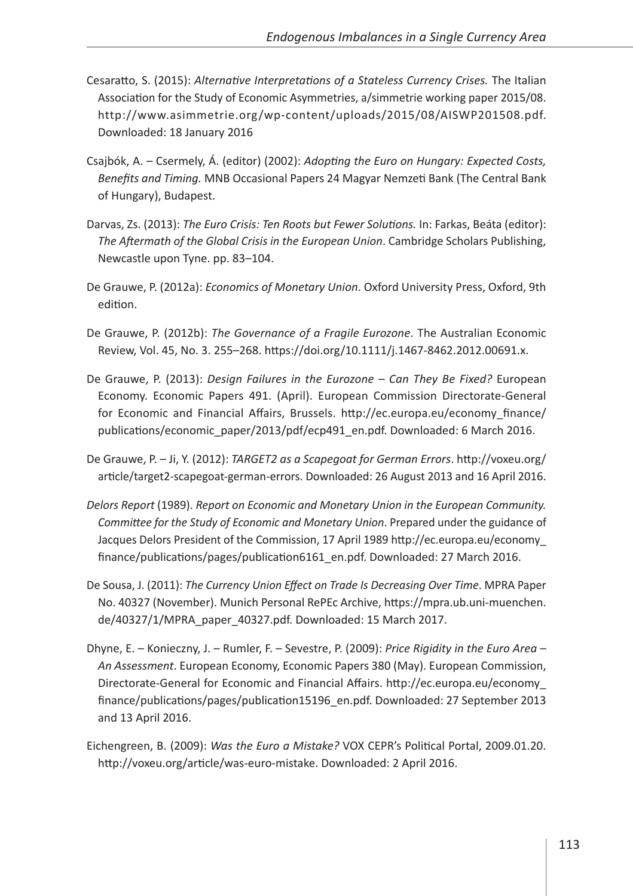- Cesaratto, S. (2015): *Alternative Interpretations of a Stateless Currency Crises.* The Italian Association for the Study of Economic Asymmetries, a/simmetrie working paper 2015/08. [http://www.asimmetrie.org/wp-content/uploads/2015/08/AISWP201508.pdf.](http://www.asimmetrie.org/wp-content/uploads/2015/08/AISWP201508.pdf) Downloaded: 18 January 2016
- Csajbók, A. Csermely, Á. (editor) (2002): *Adopting the Euro on Hungary: Expected Costs, Benefits and Timing.* MNB Occasional Papers 24 Magyar Nemzeti Bank (The Central Bank of Hungary), Budapest.
- Darvas, Zs. (2013): *The Euro Crisis: Ten Roots but Fewer Solutions.* In: Farkas, Beáta (editor): *The Aftermath of the Global Crisis in the European Union*. Cambridge Scholars Publishing, Newcastle upon Tyne. pp. 83–104.
- De Grauwe, P. (2012a): *Economics of Monetary Union*. Oxford University Press, Oxford, 9th edition.
- De Grauwe, P. (2012b): *The Governance of a Fragile Eurozone*. The Australian Economic Review, Vol. 45, No. 3. 255–268. [https://doi.org/10.1111/j.1467-8462.2012.00691.x.](https://doi.org/10.1111/j.1467-8462.2012.00691.x)
- De Grauwe, P. (2013): *Design Failures in the Eurozone Can They Be Fixed?* European Economy. Economic Papers 491. (April). European Commission Directorate-General for Economic and Financial Affairs, Brussels. [http://ec.europa.eu/economy\\_finance/](http://ec.europa.eu/economy_finance/publications/economic_paper/2013/pdf/ecp491_en.pdf) [publications/economic\\_paper/2013/pdf/ecp491\\_en.pdf.](http://ec.europa.eu/economy_finance/publications/economic_paper/2013/pdf/ecp491_en.pdf) Downloaded: 6 March 2016.
- De Grauwe, P. Ji, Y. (2012): *TARGET2 as a Scapegoat for German Errors*. [http://voxeu.org/](http://voxeu.org/article/target2-scapegoat-german-errors) [article/target2-scapegoat-german-errors.](http://voxeu.org/article/target2-scapegoat-german-errors) Downloaded: 26 August 2013 and 16 April 2016.
- *Delors Report* (1989). *Report on Economic and Monetary Union in the European Community. Committee for the Study of Economic and Monetary Union*. Prepared under the guidance of Jacques Delors President of the Commission, 17 April 1989 [http://ec.europa.eu/economy\\_](http://ec.europa.eu/economy_finance/publications/pages/publication6161_en.pdf) [finance/publications/pages/publication6161\\_en.pdf.](http://ec.europa.eu/economy_finance/publications/pages/publication6161_en.pdf) Downloaded: 27 March 2016.
- De Sousa, J. (2011): *The Currency Union Effect on Trade Is Decreasing Over Time*. MPRA Paper No. 40327 (November). Munich Personal RePEc Archive, [https://mpra.ub.uni-muenchen.](https://mpra.ub.uni-muenchen.de/40327/1/MPRA_paper_40327.pdf) [de/40327/1/MPRA\\_paper\\_40327.pdf.](https://mpra.ub.uni-muenchen.de/40327/1/MPRA_paper_40327.pdf) Downloaded: 15 March 2017.
- Dhyne, E. Konieczny, J. Rumler, F. Sevestre, P. (2009): *Price Rigidity in the Euro Area An Assessment*. European Economy, Economic Papers 380 (May). European Commission, Directorate-General for Economic and Financial Affairs. [http://ec.europa.eu/economy\\_](http://ec.europa.eu/economy_finance/publications/pages/publication15196_en.pdf) [finance/publications/pages/publication15196\\_en.pdf.](http://ec.europa.eu/economy_finance/publications/pages/publication15196_en.pdf) Downloaded: 27 September 2013 and 13 April 2016.
- Eichengreen, B. (2009): *Was the Euro a Mistake?* VOX CEPR's Political Portal, 2009.01.20. <http://voxeu.org/article/was-euro-mistake>. Downloaded: 2 April 2016.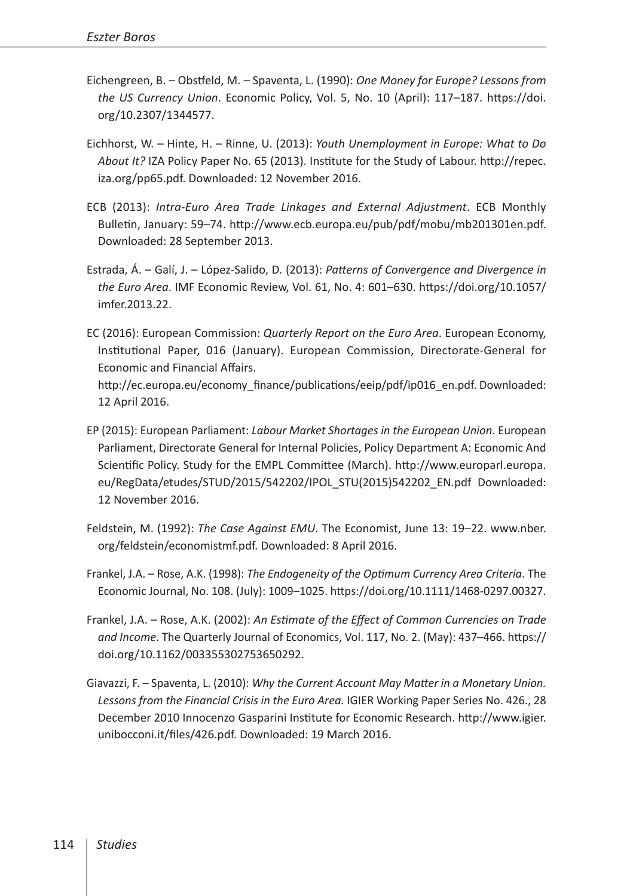- Eichengreen, B. Obstfeld, M. Spaventa, L. (1990): *One Money for Europe? Lessons from the US Currency Union*. Economic Policy, Vol. 5, No. 10 (April): 117–187. [https://doi.](https://doi.org/10.2307/1344577) [org/10.2307/1344577](https://doi.org/10.2307/1344577).
- Eichhorst, W. Hinte, H. Rinne, U. (2013): *Youth Unemployment in Europe: What to Do About It?* IZA Policy Paper No. 65 (2013). Institute for the Study of Labour. [http://repec.](http://repec.iza.org/pp65.pdf) [iza.org/pp65.pdf](http://repec.iza.org/pp65.pdf). Downloaded: 12 November 2016.
- ECB (2013): *Intra-Euro Area Trade Linkages and External Adjustment*. ECB Monthly Bulletin, January: 59–74. [http://www.ecb.europa.eu/pub/pdf/mobu/mb201301en.pdf.](http://www.ecb.europa.eu/pub/pdf/mobu/mb201301en.pdf) Downloaded: 28 September 2013.
- Estrada, Á. Galí, J. López-Salido, D. (2013): *Patterns of Convergence and Divergence in the Euro Area*. IMF Economic Review, Vol. 61, No. 4: 601–630. [https://doi.org/10.1057/](https://doi.org/10.1057/imfer.2013.22) [imfer.2013.22.](https://doi.org/10.1057/imfer.2013.22)
- EC (2016): European Commission: *Quarterly Report on the Euro Area*. European Economy, Institutional Paper, 016 (January). European Commission, Directorate-General for Economic and Financial Affairs. [http://ec.europa.eu/economy\\_finance/publications/eeip/pdf/ip016\\_en.pdf](http://ec.europa.eu/economy_finance/publications/eeip/pdf/ip016_en.pdf). Downloaded: 12 April 2016.
- EP (2015): European Parliament: *Labour Market Shortages in the European Union*. European Parliament, Directorate General for Internal Policies, Policy Department A: Economic And Scientific Policy. Study for the EMPL Committee (March). [http://www.europarl.europa.](http://www.europarl.europa.eu/RegData/etudes/STUD/2015/542202/IPOL_STU(2015)542202_EN.pdf) [eu/RegData/etudes/STUD/2015/542202/IPOL\\_STU\(2015\)542202\\_EN.pdf](http://www.europarl.europa.eu/RegData/etudes/STUD/2015/542202/IPOL_STU(2015)542202_EN.pdf) Downloaded: 12 November 2016.
- Feldstein, M. (1992): *The Case Against EMU*. The Economist, June 13: 19–22. [www.nber.](http://www.nber.org/feldstein/economistmf.pdf) [org/feldstein/economistmf.pdf.](http://www.nber.org/feldstein/economistmf.pdf) Downloaded: 8 April 2016.
- Frankel, J.A. Rose, A.K. (1998): *The Endogeneity of the Optimum Currency Area Criteria*. The Economic Journal, No. 108. (July): 1009–1025. [https://doi.org/10.1111/1468-0297.00327.](https://doi.org/10.1111/1468-0297.00327)
- Frankel, J.A. Rose, A.K. (2002): *An Estimate of the Effect of Common Currencies on Trade and Income*. The Quarterly Journal of Economics, Vol. 117, No. 2. (May): 437–466. [https://](https://doi.org/10.1162/003355302753650292) [doi.org/10.1162/003355302753650292.](https://doi.org/10.1162/003355302753650292)
- Giavazzi, F. Spaventa, L. (2010): *Why the Current Account May Matter in a Monetary Union. Lessons from the Financial Crisis in the Euro Area.* IGIER Working Paper Series No. 426., 28 December 2010 Innocenzo Gasparini Institute for Economic Research. [http://www.igier.](http://www.igier.unibocconi.it/files/426.pdf) [unibocconi.it/files/426.pdf.](http://www.igier.unibocconi.it/files/426.pdf) Downloaded: 19 March 2016.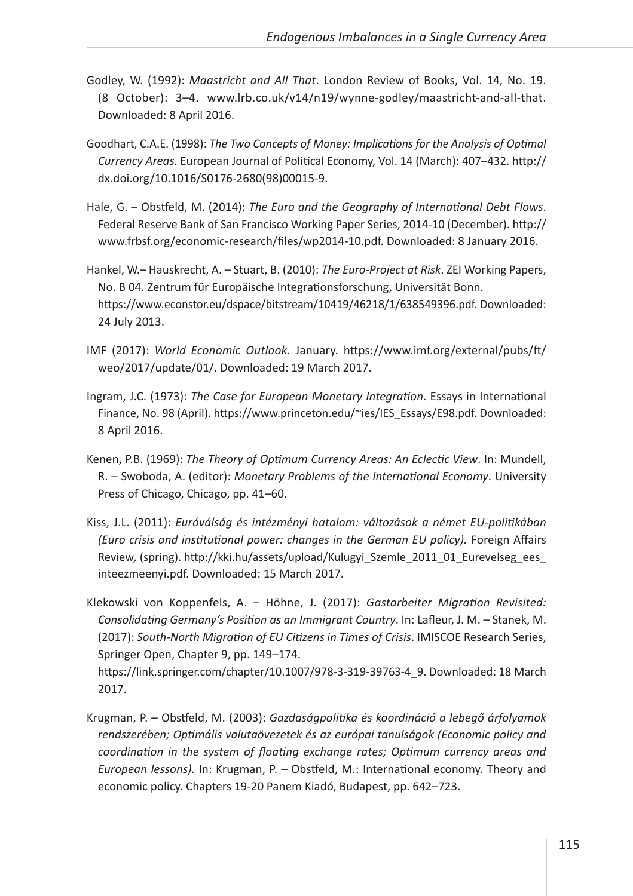- Godley, W. (1992): *Maastricht and All That*. London Review of Books, Vol. 14, No. 19. (8 October): 3–4. [www.lrb.co.uk/v14/n19/wynne-godley/maastricht-and-all-that.](http://www.lrb.co.uk/v14/n19/wynne-godley/maastricht-and-all-that) Downloaded: 8 April 2016.
- Goodhart, C.A.E. (1998): *The Two Concepts of Money: Implications for the Analysis of Optimal Currency Areas.* European Journal of Political Economy, Vol. 14 (March): 407–432. [http://](http://dx.doi.org/10.1016/S0176-2680(98)00015-9) [dx.doi.org/10.1016/S0176-2680\(98\)00015-9](http://dx.doi.org/10.1016/S0176-2680(98)00015-9).
- Hale, G. Obstfeld, M. (2014): *The Euro and the Geography of International Debt Flows*. Federal Reserve Bank of San Francisco Working Paper Series, 2014-10 (December). [http://](http://www.frbsf.org/economic-research/files/wp2014-10.pdf) [www.frbsf.org/economic-research/files/wp2014-10.pdf](http://www.frbsf.org/economic-research/files/wp2014-10.pdf). Downloaded: 8 January 2016.
- Hankel, W.– Hauskrecht, A. Stuart, B. (2010): *The Euro-Project at Risk*. ZEI Working Papers, No. B 04. Zentrum für Europäische Integrationsforschung, Universität Bonn. [https://www.econstor.eu/dspace/bitstream/10419/46218/1/638549396.pdf.](https://www.econstor.eu/dspace/bitstream/10419/46218/1/638549396.pdf) Downloaded: 24 July 2013.
- IMF (2017): *World Economic Outlook*. January. [https://www.imf.org/external/pubs/ft/](https://www.imf.org/external/pubs/ft/weo/2017/update/01/) [weo/2017/update/01/.](https://www.imf.org/external/pubs/ft/weo/2017/update/01/) Downloaded: 19 March 2017.
- Ingram, J.C. (1973): *The Case for European Monetary Integration*. Essays in International Finance, No. 98 (April). [https://www.princeton.edu/~ies/IES\\_Essays/E98.pdf.](https://www.princeton.edu/~ies/IES_Essays/E98.pdf) Downloaded: 8 April 2016.
- Kenen, P.B. (1969): *The Theory of Optimum Currency Areas: An Eclectic View*. In: Mundell, R. – Swoboda, A. (editor): *Monetary Problems of the International Economy*. University Press of Chicago, Chicago, pp. 41–60.
- Kiss, J.L. (2011): *Euróválság és intézményi hatalom: változások a német EU-politikában (Euro crisis and institutional power: changes in the German EU policy).* Foreign Affairs Review*,* (spring). [http://kki.hu/assets/upload/Kulugyi\\_Szemle\\_2011\\_01\\_Eurevelseg\\_ees\\_](http://kki.hu/assets/upload/Kulugyi_Szemle_2011_01_Eurevelseg_ees_inteezmeenyi.pdf) [inteezmeenyi.pdf.](http://kki.hu/assets/upload/Kulugyi_Szemle_2011_01_Eurevelseg_ees_inteezmeenyi.pdf) Downloaded: 15 March 2017.

Klekowski von Koppenfels, A. – Höhne, J. (2017): *Gastarbeiter Migration Revisited: Consolidating Germany's Position as an Immigrant Country*. In: Lafleur, J. M. – Stanek, M. (2017): *South-North Migration of EU Citizens in Times of Crisis*. IMISCOE Research Series, Springer Open, Chapter 9, pp. 149–174.

[https://link.springer.com/chapter/10.1007/978-3-319-39763-4\\_9.](https://link.springer.com/chapter/10.1007/978-3-319-39763-4_9) Downloaded: 18 March 2017.

Krugman, P. – Obstfeld, M. (2003): *Gazdaságpolitika és koordináció a lebegő árfolyamok rendszerében; Optimális valutaövezetek és az európai tanulságok (Economic policy and coordination in the system of floating exchange rates; Optimum currency areas and European lessons).* In: Krugman, P. – Obstfeld, M.: International economy. Theory and economic policy. Chapters 19-20 Panem Kiadó, Budapest, pp. 642–723.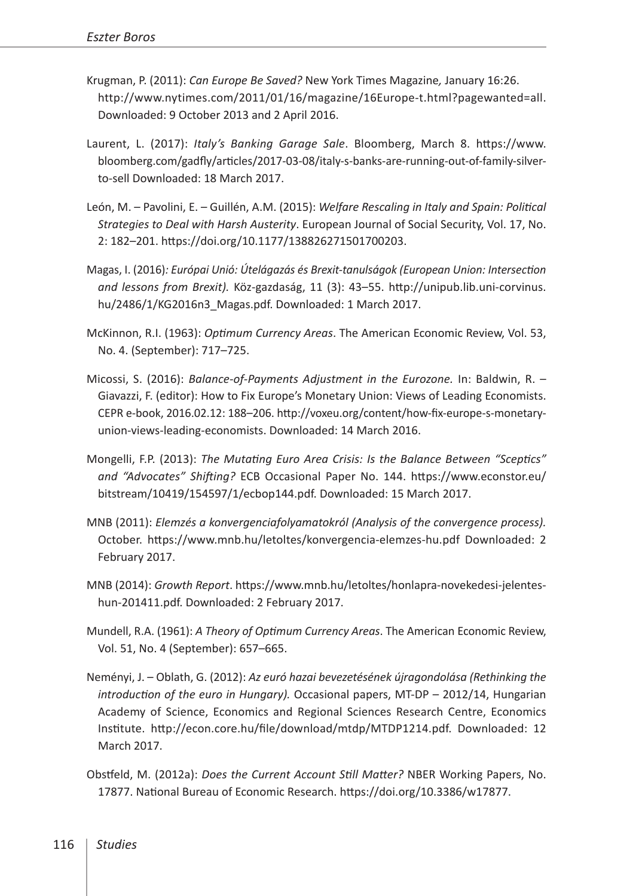- Krugman, P. (2011): *Can Europe Be Saved?* New York Times Magazine*,* January 16:26. [http://www.nytimes.com/2011/01/16/magazine/16Europe-t.html?pagewanted=all.](http://www.nytimes.com/2011/01/16/magazine/16Europe-t.html?pagewanted=all) Downloaded: 9 October 2013 and 2 April 2016.
- Laurent, L. (2017): *Italy's Banking Garage Sale*. Bloomberg, March 8. [https://www.](https://www.bloomberg.com/gadfly/articles/2017-03-08/italy-s-banks-are-running-out-of-family-silver-to-sell) [bloomberg.com/gadfly/articles/2017-03-08/italy-s-banks-are-running-out-of-family-silver](https://www.bloomberg.com/gadfly/articles/2017-03-08/italy-s-banks-are-running-out-of-family-silver-to-sell)[to-sell](https://www.bloomberg.com/gadfly/articles/2017-03-08/italy-s-banks-are-running-out-of-family-silver-to-sell) Downloaded: 18 March 2017.
- León, M. Pavolini, E. Guillén, A.M. (2015): *Welfare Rescaling in Italy and Spain: Political Strategies to Deal with Harsh Austerity*. European Journal of Social Security, Vol. 17, No. 2: 182–201. [https://doi.org/10.1177/138826271501700203.](https://doi.org/10.1177/138826271501700203)
- Magas, I. (2016)*: Európai Unió: Útelágazás és Brexit-tanulságok (European Union: Intersection and lessons from Brexit).* Köz-gazdaság, 11 (3): 43–55. [http://unipub.lib.uni-corvinus.](http://unipub.lib.uni-corvinus.hu/2486/1/KG2016n3_Magas.pdf) hu/2486/1/KG2016n3 Magas.pdf. Downloaded: 1 March 2017.
- McKinnon, R.I. (1963): *Optimum Currency Areas*. The American Economic Review, Vol. 53, No. 4. (September): 717–725.
- Micossi, S. (2016): *Balance-of-Payments Adjustment in the Eurozone.* In: Baldwin, R. Giavazzi, F. (editor): How to Fix Europe's Monetary Union: Views of Leading Economists. CEPR e-book, 2016.02.12: 188–206. [http://voxeu.org/content/how-fix-europe-s-monetary](http://voxeu.org/content/how-fix-europe-s-monetary-union-views-leading-economists)[union-views-leading-economists](http://voxeu.org/content/how-fix-europe-s-monetary-union-views-leading-economists). Downloaded: 14 March 2016.
- Mongelli, F.P. (2013): *The Mutating Euro Area Crisis: Is the Balance Between "Sceptics" and "Advocates" Shifting?* ECB Occasional Paper No. 144. [https://www.econstor.eu/](https://www.econstor.eu/bitstream/10419/154597/1/ecbop144.pdf) [bitstream/10419/154597/1/ecbop144.pdf](https://www.econstor.eu/bitstream/10419/154597/1/ecbop144.pdf). Downloaded: 15 March 2017.
- MNB (2011): *Elemzés a konvergenciafolyamatokról (Analysis of the convergence process).* October. <https://www.mnb.hu/letoltes/konvergencia-elemzes-hu.pdf> Downloaded: 2 February 2017.
- MNB (2014): *Growth Report*. [https://www.mnb.hu/letoltes/honlapra-novekedesi-jelentes](https://www.mnb.hu/letoltes/honlapra-novekedesi-jelentes-hun-201411.pdf)[hun-201411.pdf](https://www.mnb.hu/letoltes/honlapra-novekedesi-jelentes-hun-201411.pdf). Downloaded: 2 February 2017.
- Mundell, R.A. (1961): *A Theory of Optimum Currency Areas*. The American Economic Review, Vol. 51, No. 4 (September): 657–665.
- Neményi, J. Oblath, G. (2012): *Az euró hazai bevezetésének újragondolása (Rethinking the introduction of the euro in Hungary).* Occasional papers, MT-DP – 2012/14, Hungarian Academy of Science, Economics and Regional Sciences Research Centre, Economics Institute. [http://econ.core.hu/file/download/mtdp/MTDP1214.pdf.](http://econ.core.hu/file/download/mtdp/MTDP1214.pdf) Downloaded: 12 March 2017.
- Obstfeld, M. (2012a): *Does the Current Account Still Matter?* NBER Working Papers, No. 17877. National Bureau of Economic Research. <https://doi.org/10.3386/w17877>.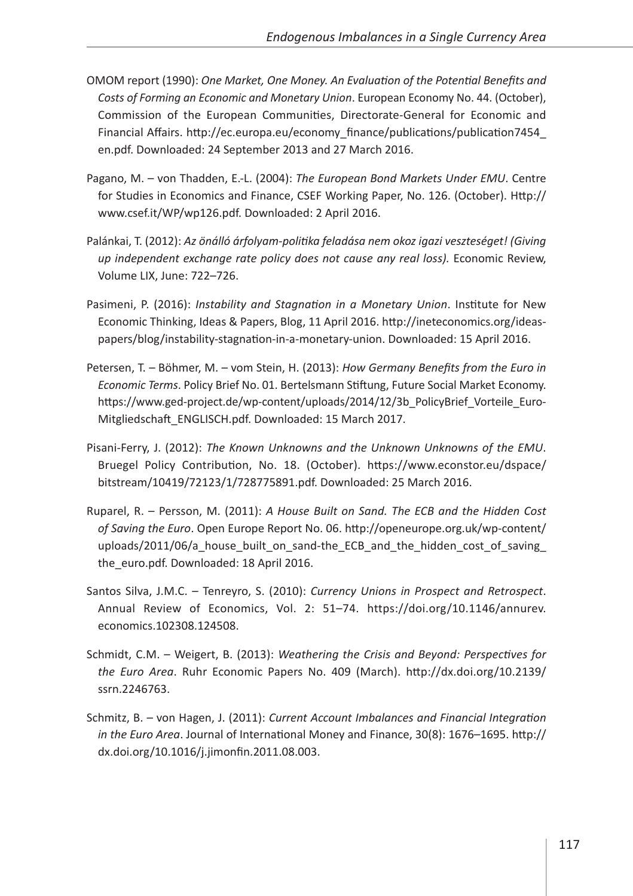- OMOM report (1990): *One Market, One Money. An Evaluation of the Potential Benefits and Costs of Forming an Economic and Monetary Union*. European Economy No. 44. (October), Commission of the European Communities, Directorate-General for Economic and Financial Affairs. [http://ec.europa.eu/economy\\_finance/publications/publication7454\\_](http://ec.europa.eu/economy_finance/publications/publication7454_en.pdf) [en.pdf](http://ec.europa.eu/economy_finance/publications/publication7454_en.pdf). Downloaded: 24 September 2013 and 27 March 2016.
- Pagano, M. von Thadden, E.-L. (2004): *The European Bond Markets Under EMU*. Centre for Studies in Economics and Finance, CSEF Working Paper, No. 126. (October). [Http://](Http://www.csef.it/WP/wp126.pdf) [www.csef.it/WP/wp126.pdf](Http://www.csef.it/WP/wp126.pdf). Downloaded: 2 April 2016.
- Palánkai, T. (2012): *Az önálló árfolyam-politika feladása nem okoz igazi veszteséget! (Giving up independent exchange rate policy does not cause any real loss).* Economic Review, Volume LIX, June: 722–726.
- Pasimeni, P. (2016): *Instability and Stagnation in a Monetary Union*. Institute for New Economic Thinking, Ideas & Papers, Blog, 11 April 2016. [http://ineteconomics.org/ideas](http://ineteconomics.org/ideas-papers/blog/instability-stagnation-in-a-monetary-union)[papers/blog/instability-stagnation-in-a-monetary-union.](http://ineteconomics.org/ideas-papers/blog/instability-stagnation-in-a-monetary-union) Downloaded: 15 April 2016.
- Petersen, T. Böhmer, M. vom Stein, H. (2013): *How Germany Benefits from the Euro in Economic Terms*. Policy Brief No. 01. Bertelsmann Stiftung, Future Social Market Economy. [https://www.ged-project.de/wp-content/uploads/2014/12/3b\\_PolicyBrief\\_Vorteile\\_Euro-](https://www.ged-project.de/wp-content/uploads/2014/12/3b_PolicyBrief_Vorteile_Euro-Mitgliedschaft_ENGLISCH.pdf)[Mitgliedschaft\\_ENGLISCH.pdf.](https://www.ged-project.de/wp-content/uploads/2014/12/3b_PolicyBrief_Vorteile_Euro-Mitgliedschaft_ENGLISCH.pdf) Downloaded: 15 March 2017.
- Pisani-Ferry, J. (2012): *The Known Unknowns and the Unknown Unknowns of the EMU*. Bruegel Policy Contribution, No. 18. (October). [https://www.econstor.eu/dspace/](https://www.econstor.eu/dspace/bitstream/10419/72123/1/728775891.pdf) [bitstream/10419/72123/1/728775891.pdf.](https://www.econstor.eu/dspace/bitstream/10419/72123/1/728775891.pdf) Downloaded: 25 March 2016.
- Ruparel, R. Persson, M. (2011): *A House Built on Sand. The ECB and the Hidden Cost of Saving the Euro*. Open Europe Report No. 06. [http://openeurope.org.uk/wp-content/](http://openeurope.org.uk/wp-content/uploads/2011/06/a_house_built_on_sand-the_ECB_and_the_hidden_cost_of_saving_the_euro.pdf) uploads/2011/06/a house built on sand-the ECB and the hidden cost of saving [the\\_euro.pdf.](http://openeurope.org.uk/wp-content/uploads/2011/06/a_house_built_on_sand-the_ECB_and_the_hidden_cost_of_saving_the_euro.pdf) Downloaded: 18 April 2016.
- Santos Silva, J.M.C. Tenreyro, S. (2010): *Currency Unions in Prospect and Retrospect*. Annual Review of Economics, Vol. 2: 51–74. [https://doi.org/10.1146/annurev.](https://doi.org/10.1146/annurev.economics.102308.124508) [economics.102308.124508](https://doi.org/10.1146/annurev.economics.102308.124508).
- Schmidt, C.M. Weigert, B. (2013): *Weathering the Crisis and Beyond: Perspectives for the Euro Area*. Ruhr Economic Papers No. 409 (March). [http://dx.doi.org/10.2139/](http://dx.doi.org/10.2139/ssrn.2246763) [ssrn.2246763.](http://dx.doi.org/10.2139/ssrn.2246763)
- Schmitz, B. von Hagen, J. (2011): *Current Account Imbalances and Financial Integration in the Euro Area*. Journal of International Money and Finance, 30(8): 1676–1695. [http://](http://dx.doi.org/10.1016/j.jimonfin.2011.08.003) [dx.doi.org/10.1016/j.jimonfin.2011.08.003.](http://dx.doi.org/10.1016/j.jimonfin.2011.08.003)